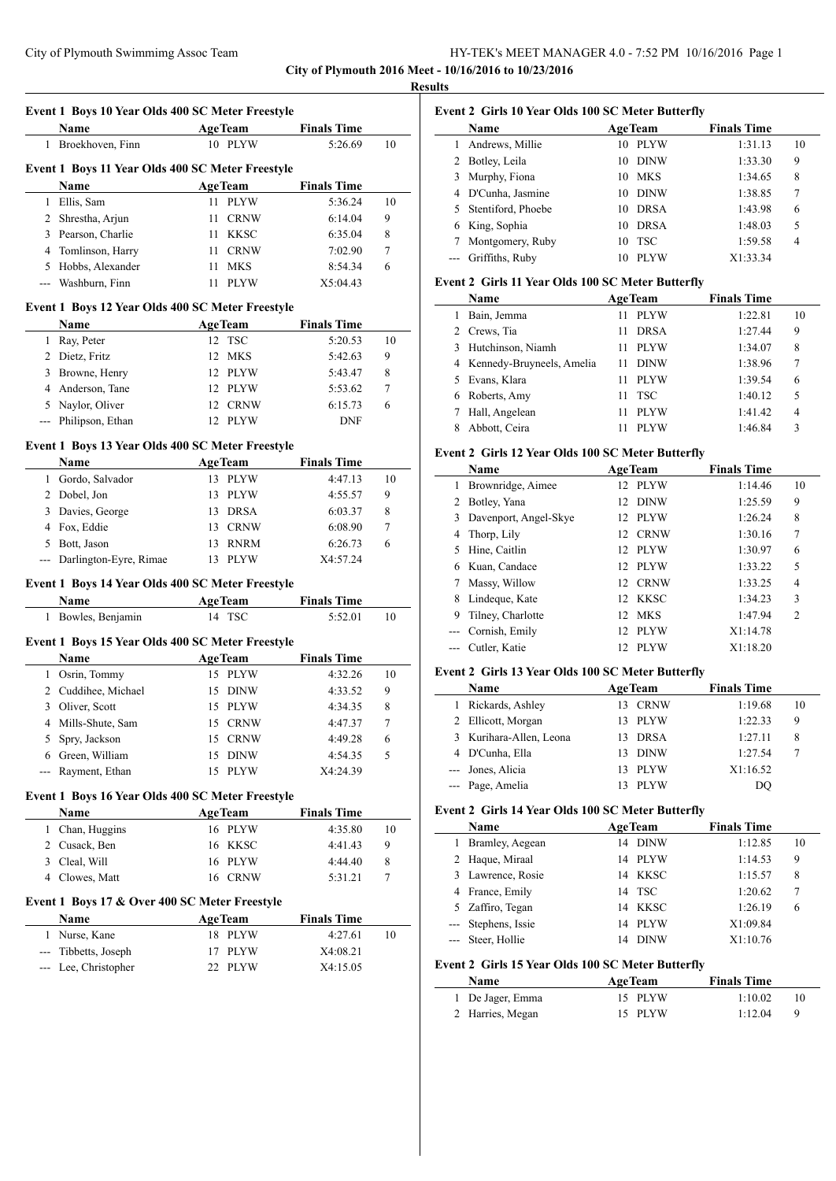# City of Plymouth Swimmimg Assoc Team HY-TEK's MEET MANAGER 4.0 - 7:52 PM 10/16/2016 Page 1 **City of Plymouth 2016 Meet - 10/16/2016 to 10/23/2016**

**Results**

| 1            | Name<br>Broekhoven, Finn                                 |                | <b>AgeTeam</b><br>10 PLYW | <b>Finals Time</b><br>5:26.69 | 10      |
|--------------|----------------------------------------------------------|----------------|---------------------------|-------------------------------|---------|
|              |                                                          |                |                           |                               |         |
|              | Event 1 Boys 11 Year Olds 400 SC Meter Freestyle         |                |                           |                               |         |
|              | Name                                                     | <b>AgeTeam</b> |                           | <b>Finals Time</b>            |         |
|              | 1 Ellis, Sam                                             | 11 -           | <b>PLYW</b>               | 5:36.24                       | 10      |
|              | 2 Shrestha, Arjun                                        | 11             | <b>CRNW</b>               | 6:14.04<br>6:35.04            | 9       |
|              | 3 Pearson, Charlie                                       | 11<br>11       | KKSC<br><b>CRNW</b>       | 7:02.90                       | 8<br>7  |
|              | 4 Tomlinson, Harry<br>5 Hobbs, Alexander                 | 11             | MKS                       | 8:54.34                       | 6       |
| ---          | Washburn, Finn                                           | 11             | <b>PLYW</b>               | X5:04.43                      |         |
|              |                                                          |                |                           |                               |         |
|              | Event 1 Boys 12 Year Olds 400 SC Meter Freestyle         |                |                           |                               |         |
|              | Name                                                     | <b>AgeTeam</b> |                           | <b>Finals Time</b>            |         |
|              | 1 Ray, Peter                                             |                | 12 TSC                    | 5:20.53                       | 10      |
|              | 2 Dietz, Fritz                                           | 12             | MKS                       | 5:42.63                       | 9       |
|              | 3 Browne, Henry                                          |                | 12 PLYW                   | 5:43.47                       | 8       |
|              | 4 Anderson, Tane                                         |                | 12 PLYW                   | 5:53.62                       | 7       |
|              | 5 Naylor, Oliver                                         |                | 12 CRNW                   | 6:15.73                       | 6       |
| $\sim$       | Philipson, Ethan                                         |                | 12 PLYW                   | <b>DNF</b>                    |         |
|              | Event 1 Boys 13 Year Olds 400 SC Meter Freestyle         |                |                           |                               |         |
|              | Name                                                     | <b>AgeTeam</b> |                           | <b>Finals Time</b>            |         |
| $\mathbf{1}$ | Gordo, Salvador                                          |                | 13 PLYW                   | 4:47.13                       | 10      |
|              | 2 Dobel, Jon                                             |                | 13 PLYW                   | 4:55.57                       | 9       |
| 3            | Davies, George                                           | 13             | <b>DRSA</b>               | 6:03.37                       | 8       |
|              | 4 Fox, Eddie                                             | 13             | <b>CRNW</b>               | 6:08.90                       | 7       |
|              |                                                          |                |                           |                               |         |
|              | 5 Bott, Jason                                            | 13             | <b>RNRM</b>               | 6:26.73                       | 6       |
| ---          | Darlington-Eyre, Rimae                                   | 13             | <b>PLYW</b>               | X4:57.24                      |         |
|              |                                                          |                |                           |                               |         |
|              | Event 1 Boys 14 Year Olds 400 SC Meter Freestyle<br>Name |                |                           |                               |         |
|              | 1 Bowles, Benjamin                                       | <b>AgeTeam</b> | 14 TSC                    | <b>Finals Time</b><br>5:52.01 |         |
|              |                                                          |                |                           |                               | 10      |
|              | Event 1 Boys 15 Year Olds 400 SC Meter Freestyle         |                |                           |                               |         |
|              | Name                                                     | <b>AgeTeam</b> |                           | <b>Finals Time</b>            |         |
|              | 1 Osrin, Tommy                                           |                | 15 PLYW                   | 4:32.26                       |         |
|              | 2 Cuddihee, Michael                                      | 15             | <b>DINW</b>               | 4:33.52                       | 9       |
|              | 3 Oliver, Scott                                          |                | 15 PLYW                   | 4:34.35                       | 8       |
| 4            | Mills-Shute, Sam                                         | 15             | <b>CRNW</b>               | 4:47.37                       | 7       |
| 5            | Spry, Jackson                                            | 15             | <b>CRNW</b>               | 4:49.28                       | 6       |
|              | 6 Green, William                                         | 15             | <b>DINW</b>               | 4:54.35                       | 5       |
| $---$        | Rayment, Ethan                                           | 15             | <b>PLYW</b>               | X4:24.39                      | 10      |
|              | Event 1 Boys 16 Year Olds 400 SC Meter Freestyle         |                |                           |                               |         |
|              | Name                                                     | <b>AgeTeam</b> |                           | <b>Finals Time</b>            |         |
|              | 1 Chan, Huggins                                          |                | 16 PLYW                   | 4:35.80                       |         |
|              | 2 Cusack, Ben                                            | 16             | KKSC                      | 4:41.43                       | 9       |
|              | 3 Cleal, Will                                            |                | 16 PLYW                   | 4:44.40                       | 10<br>8 |
|              | 4 Clowes, Matt                                           |                | 16 CRNW                   | 5:31.21                       | 7       |
|              | Event 1 Boys 17 & Over 400 SC Meter Freestyle            |                |                           |                               |         |
|              | Name                                                     | <b>AgeTeam</b> |                           | <b>Finals Time</b>            |         |
|              | 1 Nurse, Kane                                            |                | 18 PLYW                   | 4:27.61                       |         |
|              | --- Tibbetts, Joseph                                     | 17             | PLYW                      | X4:08.21                      | 10      |

# **Event 2 Girls 10 Year Olds 100 SC Meter Butterfly**

| <b>Name</b>          | <b>AgeTeam</b> |             | <b>Finals Time</b> |    |
|----------------------|----------------|-------------|--------------------|----|
| Andrews, Millie      | 10             | <b>PLYW</b> | 1:31.13            | 10 |
| 2 Botley, Leila      | 10             | <b>DINW</b> | 1:33.30            | 9  |
| 3 Murphy, Fiona      | 10             | <b>MKS</b>  | 1:34.65            | 8  |
| 4 D'Cunha, Jasmine   | 10             | <b>DINW</b> | 1:38.85            | 7  |
| 5 Stentiford, Phoebe | 10             | <b>DRSA</b> | 1:43.98            | 6  |
| 6 King, Sophia       | 10             | <b>DRSA</b> | 1:48.03            | 5  |
| Montgomery, Ruby     | 10             | <b>TSC</b>  | 1:59.58            | 4  |
| Griffiths, Ruby      | 10             | <b>PLYW</b> | X1:33.34           |    |

# **Event 2 Girls 11 Year Olds 100 SC Meter Butterfly**

|   | Name                        |    | <b>AgeTeam</b> | <b>Finals Time</b> |    |
|---|-----------------------------|----|----------------|--------------------|----|
|   | Bain, Jemma                 |    | <b>PLYW</b>    | 1:22.81            | 10 |
|   | 2 Crews, Tia                |    | <b>DRSA</b>    | 1:27.44            | 9  |
|   | 3 Hutchinson, Niamh         |    | <b>PLYW</b>    | 1:34.07            | 8  |
|   | 4 Kennedy-Bruyneels, Amelia |    | <b>DINW</b>    | 1:38.96            | 7  |
|   | 5 Evans, Klara              |    | <b>PLYW</b>    | 1:39.54            | 6  |
| 6 | Roberts, Amy                | 11 | <b>TSC</b>     | 1:40.12            | 5  |
|   | Hall, Angelean              |    | <b>PLYW</b>    | 1:41.42            | 4  |
|   | Abbott, Ceira               |    | <b>PLYW</b>    | 1:46.84            | 3  |

## **Event 2 Girls 12 Year Olds 100 SC Meter Butterfly**

|   | <b>Name</b>           | <b>AgeTeam</b>    | <b>Finals Time</b> |                |
|---|-----------------------|-------------------|--------------------|----------------|
| 1 | Brownridge, Aimee     | 12 PLYW           | 1:14.46            | 10             |
|   | 2 Botley, Yana        | 12 DINW           | 1:25.59            | 9              |
| 3 | Davenport, Angel-Skye | 12 PLYW           | 1:26.24            | 8              |
| 4 | Thorp, Lily           | 12 CRNW           | 1:30.16            | 7              |
|   | 5 Hine, Caitlin       | 12 PLYW           | 1:30.97            | 6              |
| 6 | Kuan, Candace         | 12 PLYW           | 1:33.22            | 5              |
|   | Massy, Willow         | 12 CRNW           | 1:33.25            | 4              |
| 8 | Lindeque, Kate        | 12 KKSC           | 1:34.23            | 3              |
| 9 | Tilney, Charlotte     | 12 MKS            | 1:47.94            | $\mathfrak{D}$ |
|   | --- Cornish, Emily    | <b>PLYW</b><br>12 | X1:14.78           |                |
|   | Cutler, Katie         | <b>PLYW</b><br>12 | X1:18.20           |                |

#### **Event 2 Girls 13 Year Olds 100 SC Meter Butterfly**

| <b>Name</b> |                         | <b>AgeTeam</b> |             | <b>Finals Time</b> |    |
|-------------|-------------------------|----------------|-------------|--------------------|----|
| 1           | Rickards, Ashley        | 13.            | <b>CRNW</b> | 1:19.68            | 10 |
|             | 2 Ellicott, Morgan      |                | 13 PLYW     | 1:22.33            | 9  |
|             | 3 Kurihara-Allen, Leona | 13.            | DRSA        | 1:27.11            | 8  |
|             | 4 D'Cunha, Ella         | 13             | <b>DINW</b> | 1:27.54            |    |
|             | --- Jones, Alicia       |                | 13 PLYW     | X1:16.52           |    |
|             | --- Page, Amelia        |                | <b>PLYW</b> | DO                 |    |

## **Event 2 Girls 14 Year Olds 100 SC Meter Butterfly**

| Name                | <b>AgeTeam</b> |             | <b>Finals Time</b> |    |
|---------------------|----------------|-------------|--------------------|----|
| 1 Bramley, Aegean   | 14             | <b>DINW</b> | 1:12.85            | 10 |
| 2 Haque, Miraal     | 14             | <b>PLYW</b> | 1:14.53            | 9  |
| 3 Lawrence, Rosie   | 14             | KKSC        | 1:15.57            | 8  |
| 4 France, Emily     |                | 14 TSC      | 1:20.62            | 7  |
| 5 Zaffiro, Tegan    | 14             | KKSC        | 1:26.19            | 6  |
| --- Stephens, Issie | 14             | PLYW        | X1:09.84           |    |
| Steer, Hollie       | 14             | <b>DINW</b> | X1:10.76           |    |

## **Event 2 Girls 15 Year Olds 100 SC Meter Butterfly**

| Name             | <b>AgeTeam</b> | <b>Finals Time</b> |   |
|------------------|----------------|--------------------|---|
| 1 De Jager, Emma | 15 PLYW        | 1:10.02            |   |
| 2 Harries, Megan | 15 PLYW        | 1:12.04            | Q |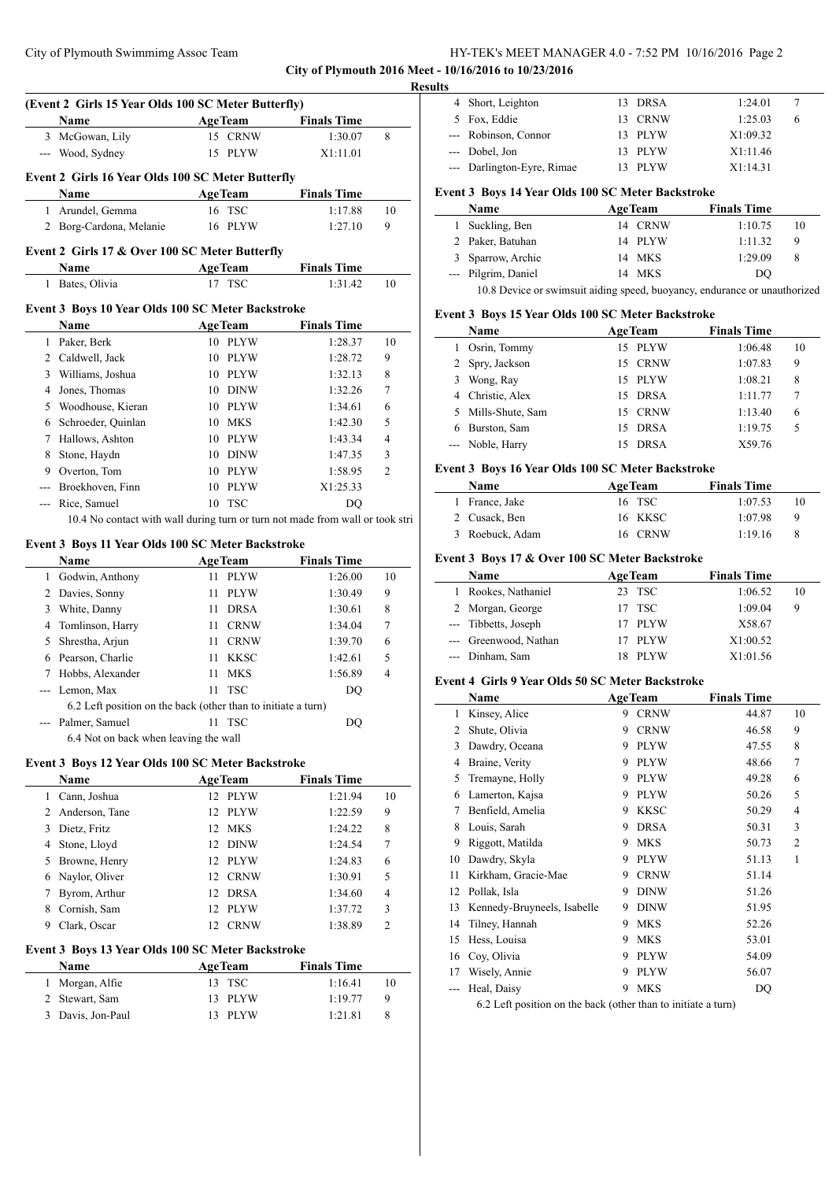# City of Plymouth Swimmimg Assoc Team HY-TEK's MEET MANAGER 4.0 - 7:52 PM 10/16/2016 Page 2 **City of Plymouth 2016 Meet - 10/16/2016 to 10/23/2016**

| ۰<br>I<br>н |  |
|-------------|--|
|             |  |

|                | (Event 2 Girls 15 Year Olds 100 SC Meter Butterfly) |                                                                               |                               |                | 4                                                                                                                       |
|----------------|-----------------------------------------------------|-------------------------------------------------------------------------------|-------------------------------|----------------|-------------------------------------------------------------------------------------------------------------------------|
|                |                                                     |                                                                               |                               |                |                                                                                                                         |
|                | Name                                                | <b>AgeTeam</b>                                                                | <b>Finals Time</b>            |                | 5                                                                                                                       |
|                | 3 McGowan, Lily                                     | 15 CRNW                                                                       | 1:30.07                       | 8              |                                                                                                                         |
|                | --- Wood, Sydney                                    | 15 PLYW                                                                       | X1:11.01                      |                |                                                                                                                         |
|                |                                                     |                                                                               |                               |                |                                                                                                                         |
|                | Event 2 Girls 16 Year Olds 100 SC Meter Butterfly   |                                                                               |                               |                |                                                                                                                         |
|                | Name                                                | <b>AgeTeam</b>                                                                | <b>Finals Time</b>            |                | Event                                                                                                                   |
|                | 1 Arundel, Gemma                                    | 16 TSC                                                                        | 1:17.88                       | 10             |                                                                                                                         |
|                | 2 Borg-Cardona, Melanie                             | 16 PLYW                                                                       | 1:27.10                       | 9              | 1                                                                                                                       |
|                | Event 2 Girls 17 & Over 100 SC Meter Butterfly      |                                                                               |                               |                | 2                                                                                                                       |
|                | Name                                                | <b>AgeTeam</b>                                                                | <b>Finals Time</b>            |                | 3                                                                                                                       |
|                | 1 Bates, Olivia                                     | 17 TSC                                                                        | 1:31.42                       | 10             |                                                                                                                         |
|                |                                                     |                                                                               |                               |                |                                                                                                                         |
|                | Event 3 Boys 10 Year Olds 100 SC Meter Backstroke   |                                                                               |                               |                | Event.                                                                                                                  |
|                | Name                                                | <b>AgeTeam</b>                                                                | <b>Finals Time</b>            |                |                                                                                                                         |
|                | 1 Paker, Berk                                       | 10 PLYW                                                                       | 1:28.37                       | 10             | 1                                                                                                                       |
|                | 2 Caldwell, Jack                                    | 10 PLYW                                                                       | 1:28.72                       | 9              | 2                                                                                                                       |
|                | 3 Williams, Joshua                                  | 10 PLYW                                                                       | 1:32.13                       | 8              | 3                                                                                                                       |
|                | 4 Jones, Thomas                                     | 10 DINW                                                                       | 1:32.26                       | 7              | 4                                                                                                                       |
|                | 5 Woodhouse, Kieran                                 | 10 PLYW                                                                       | 1:34.61                       | 6              | 5                                                                                                                       |
|                | 6 Schroeder, Quinlan                                | 10 MKS                                                                        | 1:42.30                       | 5              | 6                                                                                                                       |
|                | 7 Hallows, Ashton                                   | 10 PLYW                                                                       | 1:43.34                       | $\overline{4}$ |                                                                                                                         |
|                | 8 Stone, Haydn                                      | 10 DINW                                                                       | 1:47.35                       | 3              |                                                                                                                         |
|                | 9 Overton, Tom                                      | 10 PLYW                                                                       | 1:58.95                       | $\overline{c}$ | Event.                                                                                                                  |
|                | --- Broekhoven, Finn                                | 10 PLYW                                                                       | X1:25.33                      |                |                                                                                                                         |
| ---            | Rice, Samuel                                        | 10 TSC                                                                        | DQ                            |                | 1                                                                                                                       |
|                |                                                     | 10.4 No contact with wall during turn or turn not made from wall or took stri |                               |                | 2                                                                                                                       |
|                |                                                     |                                                                               |                               |                | 3                                                                                                                       |
|                |                                                     |                                                                               |                               |                |                                                                                                                         |
|                | Event 3 Boys 11 Year Olds 100 SC Meter Backstroke   |                                                                               |                               |                |                                                                                                                         |
|                | Name                                                | AgeTeam                                                                       | <b>Finals Time</b>            |                |                                                                                                                         |
|                | 1 Godwin, Anthony                                   | 11 PLYW                                                                       | 1:26.00                       | 10             |                                                                                                                         |
|                | 2 Davies, Sonny                                     | 11 PLYW                                                                       | 1:30.49                       | 9              |                                                                                                                         |
|                | 3 White, Danny                                      | <b>DRSA</b><br>11                                                             | 1:30.61                       | 8              |                                                                                                                         |
|                | 4 Tomlinson, Harry                                  | 11 CRNW                                                                       | 1:34.04                       | 7              |                                                                                                                         |
|                | 5 Shrestha, Arjun                                   | 11 CRNW                                                                       | 1:39.70                       | 6              |                                                                                                                         |
|                | 6 Pearson, Charlie                                  | 11 KKSC                                                                       | 1:42.61                       | 5              |                                                                                                                         |
| 7              | Hobbs, Alexander                                    | 11 MKS                                                                        | 1:56.89                       | 4              |                                                                                                                         |
| $\overline{a}$ | Lemon, Max                                          | <b>TSC</b><br>11                                                              | DQ                            |                |                                                                                                                         |
|                |                                                     | 6.2 Left position on the back (other than to initiate a turn)                 |                               |                | 1                                                                                                                       |
|                | Palmer, Samuel                                      | 11<br>TSC                                                                     | DQ                            |                |                                                                                                                         |
|                | 6.4 Not on back when leaving the wall               |                                                                               |                               |                |                                                                                                                         |
|                |                                                     |                                                                               |                               |                |                                                                                                                         |
|                | Event 3 Boys 12 Year Olds 100 SC Meter Backstroke   |                                                                               |                               |                |                                                                                                                         |
|                | <b>Name</b>                                         | <b>AgeTeam</b>                                                                | <b>Finals Time</b>            |                |                                                                                                                         |
| 1              | Cann, Joshua                                        | 12 PLYW                                                                       | 1:21.94                       | 10             |                                                                                                                         |
|                | 2 Anderson, Tane                                    | 12<br><b>PLYW</b>                                                             | 1:22.59                       | 9              |                                                                                                                         |
|                | 3 Dietz, Fritz                                      | <b>MKS</b><br>12                                                              | 1:24.22                       | 8              |                                                                                                                         |
|                | 4 Stone, Lloyd                                      | 12 DINW                                                                       | 1:24.54                       | 7              |                                                                                                                         |
|                | 5 Browne, Henry                                     | 12 PLYW                                                                       | 1:24.83                       | 6              |                                                                                                                         |
|                | 6 Naylor, Oliver                                    | 12 CRNW                                                                       | 1:30.91                       | 5              |                                                                                                                         |
|                | 7 Byrom, Arthur                                     | 12 DRSA                                                                       | 1:34.60                       | 4              |                                                                                                                         |
|                | 8 Cornish, Sam                                      | 12 PLYW                                                                       | 1:37.72                       | 3              |                                                                                                                         |
|                | 9 Clark, Oscar                                      | 12 CRNW                                                                       | 1:38.89                       | 2              |                                                                                                                         |
|                | Event 3 Boys 13 Year Olds 100 SC Meter Backstroke   |                                                                               |                               |                |                                                                                                                         |
|                | Name                                                |                                                                               |                               |                |                                                                                                                         |
| 1              |                                                     | <b>AgeTeam</b><br>13 TSC                                                      | <b>Finals Time</b><br>1:16.41 | 10             |                                                                                                                         |
|                | Morgan, Alfie<br>2 Stewart, Sam                     | 13<br>PLYW                                                                    | 1:19.77                       | 9              | <b>Event</b><br>1<br>2<br>Event<br>2<br>3<br>4<br>5<br>6<br>7<br>8<br>9<br>10<br>11<br>12<br>13<br>14<br>15<br>16<br>17 |

| э |                            |         |          |   |  |
|---|----------------------------|---------|----------|---|--|
|   | 4 Short, Leighton          | 13 DRSA | 1:24.01  |   |  |
|   | 5 Fox, Eddie               | 13 CRNW | 1:25.03  | 6 |  |
|   | --- Robinson, Connor       | 13 PLYW | X1:09.32 |   |  |
|   | --- Dobel, Jon             | 13 PLYW | X1:11.46 |   |  |
|   | --- Darlington-Eyre, Rimae | 13 PLYW | X1:14.31 |   |  |
|   |                            |         |          |   |  |

# **Event 3 Boys 14 Year Olds 100 SC Meter Backstroke**

| Name                | <b>AgeTeam</b> |         | <b>Finals Time</b> |    |
|---------------------|----------------|---------|--------------------|----|
| 1 Suckling, Ben     |                | 14 CRNW | 1:10.75            | 10 |
| 2 Paker, Batuhan    |                | 14 PLYW | 1:11.32            | 9  |
| 3 Sparrow, Archie   |                | 14 MKS  | 1:29.09            | 8  |
| --- Pilgrim, Daniel |                | 14 MKS  | DO.                |    |

# 10.8 Device or swimsuit aiding speed, buoyancy, endurance or unauthorized

# **Event 3 Boys 15 Year Olds 100 SC Meter Backstroke**

|   | <b>Name</b>        | <b>AgeTeam</b>    | <b>Finals Time</b> |    |
|---|--------------------|-------------------|--------------------|----|
|   | 1 Osrin, Tommy     | PLYW<br>15        | 1:06.48            | 10 |
|   | 2 Spry, Jackson    | 15 CRNW           | 1:07.83            | 9  |
| 3 | Wong, Ray          | 15 PLYW           | 1:08.21            | 8  |
|   | 4 Christie, Alex   | <b>DRSA</b><br>15 | 1:11.77            | 7  |
|   | 5 Mills-Shute, Sam | 15 CRNW           | 1:13.40            | 6  |
| 6 | Burston, Sam       | <b>DRSA</b><br>15 | 1:19.75            | 5  |
|   | --- Noble, Harry   | <b>DRSA</b><br>15 | X59.76             |    |

#### **Event 3 Boys 16 Year Olds 100 SC Meter Backstroke**

| <b>Name</b>     | <b>AgeTeam</b> | <b>Finals Time</b> |    |
|-----------------|----------------|--------------------|----|
| 1 France, Jake  | 16 TSC         | 1:07.53            | 10 |
| 2 Cusack, Ben   | 16 KKSC        | 1:07.98            | 9  |
| 3 Roebuck, Adam | 16 CRNW        | 1:19.16            | 8  |

#### **Event 3 Boys 17 & Over 100 SC Meter Backstroke**

| <b>Name</b>           | <b>AgeTeam</b> | <b>Finals Time</b> |    |
|-----------------------|----------------|--------------------|----|
| 1 Rookes, Nathaniel   | 23 TSC         | 1:06.52            | 10 |
| 2 Morgan, George      | 17 TSC         | 1:09.04            | 9  |
| --- Tibbetts, Joseph  | 17 PLYW        | X58.67             |    |
| --- Greenwood, Nathan | 17 PLYW        | X1:00.52           |    |
| --- Dinham, Sam       | 18 PLYW        | X1:01.56           |    |

#### **Event 4 Girls 9 Year Olds 50 SC Meter Backstroke**

|    | Name                                                                                                                                                  |   | <b>AgeTeam</b> | <b>Finals Time</b> |       |                |
|----|-------------------------------------------------------------------------------------------------------------------------------------------------------|---|----------------|--------------------|-------|----------------|
| 1  | Kinsey, Alice                                                                                                                                         | 9 | <b>CRNW</b>    |                    | 44.87 | 10             |
| 2  | Shute, Olivia                                                                                                                                         | 9 | <b>CRNW</b>    |                    | 46.58 | 9              |
| 3  | Dawdry, Oceana                                                                                                                                        | 9 | <b>PLYW</b>    |                    | 47.55 | 8              |
| 4  | Braine, Verity                                                                                                                                        | 9 | <b>PLYW</b>    |                    | 48.66 | 7              |
| 5  | Tremayne, Holly                                                                                                                                       | 9 | <b>PLYW</b>    |                    | 49.28 | 6              |
| 6  | Lamerton, Kajsa                                                                                                                                       | 9 | <b>PLYW</b>    |                    | 50.26 | 5              |
| 7  | Benfield, Amelia                                                                                                                                      | 9 | KKSC           |                    | 50.29 | 4              |
| 8  | Louis, Sarah                                                                                                                                          | 9 | <b>DRSA</b>    |                    | 50.31 | 3              |
| 9  | Riggott, Matilda                                                                                                                                      | 9 | <b>MKS</b>     |                    | 50.73 | $\overline{2}$ |
| 10 | Dawdry, Skyla                                                                                                                                         | 9 | <b>PLYW</b>    |                    | 51.13 | 1              |
| 11 | Kirkham, Gracie-Mae                                                                                                                                   | 9 | <b>CRNW</b>    |                    | 51.14 |                |
| 12 | Pollak, Isla                                                                                                                                          | 9 | <b>DINW</b>    |                    | 51.26 |                |
| 13 | Kennedy-Bruyneels, Isabelle                                                                                                                           | 9 | <b>DINW</b>    |                    | 51.95 |                |
| 14 | Tilney, Hannah                                                                                                                                        | 9 | <b>MKS</b>     |                    | 52.26 |                |
| 15 | Hess, Louisa                                                                                                                                          | 9 | <b>MKS</b>     |                    | 53.01 |                |
| 16 | Coy, Olivia                                                                                                                                           | 9 | <b>PLYW</b>    |                    | 54.09 |                |
| 17 | Wisely, Annie                                                                                                                                         | 9 | <b>PLYW</b>    |                    | 56.07 |                |
|    | Heal, Daisy                                                                                                                                           | 9 | <b>MKS</b>     |                    | DQ    |                |
|    | $\mathcal{L}$ at $\mathcal{L}$ at $\mathcal{L}$ at $\mathcal{L}$ at $\mathcal{L}$ at $\mathcal{L}$ at $\mathcal{L}$ at $\mathcal{L}$ at $\mathcal{L}$ |   |                |                    |       |                |

6.2 Left position on the back (other than to initiate a turn)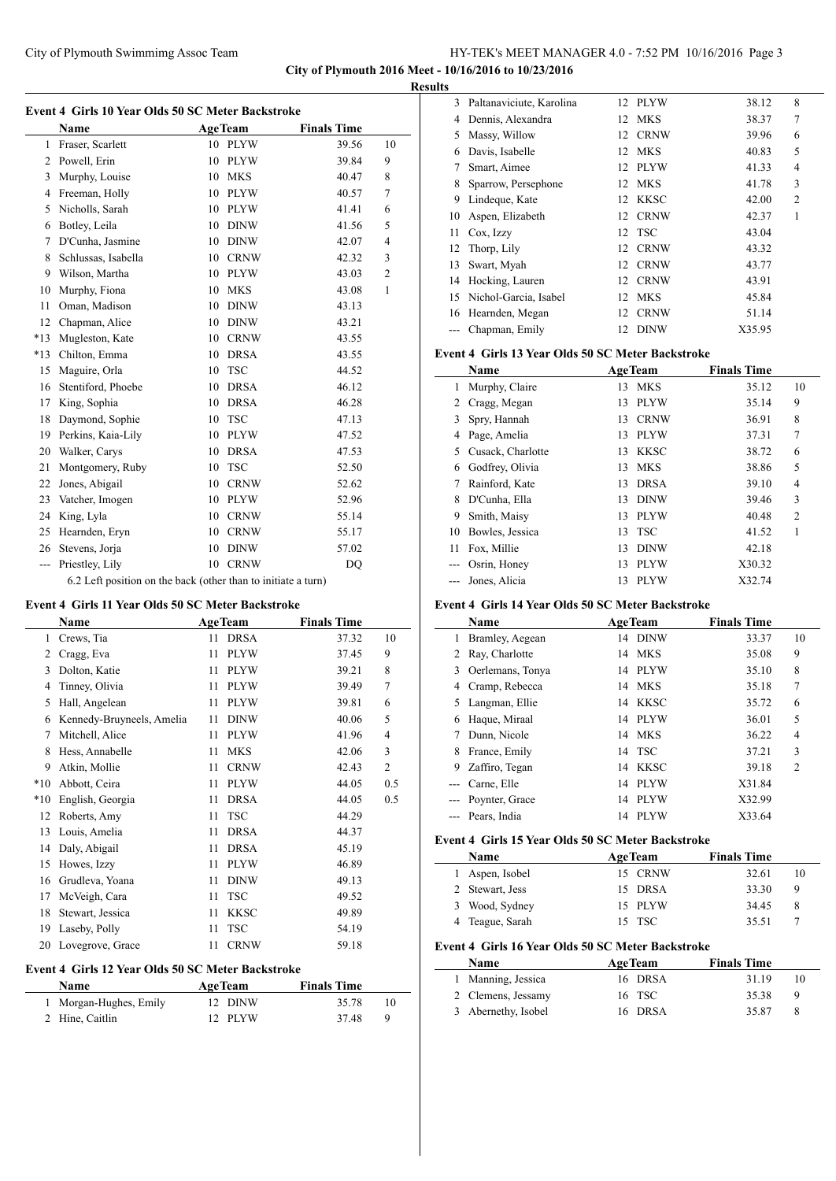## City of Plymouth Swimmimg Assoc Team HY-TEK's MEET MANAGER 4.0 - 7:52 PM 10/16/2016 Page 3 **City of Plymouth 2016 Meet - 10/16/2016 to 10/23/2016**

**Results**

|                | <b>Name</b>         |    | AgeTeam                      | <b>Finals Time</b> |                |
|----------------|---------------------|----|------------------------------|--------------------|----------------|
| 1              | Fraser, Scarlett    | 10 | <b>PLYW</b>                  | 39.56              | 10             |
| 2              | Powell, Erin        | 10 | <b>PLYW</b>                  | 39.84              | 9              |
| 3              | Murphy, Louise      | 10 | <b>MKS</b>                   | 40.47              | 8              |
| $\overline{4}$ | Freeman, Holly      | 10 | <b>PLYW</b>                  | 40.57              | 7              |
| 5              | Nicholls, Sarah     | 10 | <b>PLYW</b>                  | 41.41              | 6              |
| 6              | Botley, Leila       | 10 | <b>DINW</b>                  | 41.56              | 5              |
| 7              | D'Cunha, Jasmine    | 10 | <b>DINW</b>                  | 42.07              | $\overline{4}$ |
| 8              | Schlussas, Isabella | 10 | <b>CRNW</b>                  | 42.32              | 3              |
| 9              | Wilson, Martha      | 10 | <b>PLYW</b>                  | 43.03              | $\overline{c}$ |
| 10             | Murphy, Fiona       | 10 | <b>MKS</b>                   | 43.08              | 1              |
| 11             | Oman, Madison       | 10 | <b>DINW</b>                  | 43.13              |                |
| 12             | Chapman, Alice      | 10 | <b>DINW</b>                  | 43.21              |                |
| $*13$          | Mugleston, Kate     | 10 | $\mathop{\rm CRNW}\nolimits$ | 43.55              |                |
| $*13$          | Chilton, Emma       | 10 | <b>DRSA</b>                  | 43.55              |                |
| 15             | Maguire, Orla       | 10 | <b>TSC</b>                   | 44.52              |                |
| 16             | Stentiford, Phoebe  | 10 | <b>DRSA</b>                  | 46.12              |                |
| 17             | King, Sophia        | 10 | <b>DRSA</b>                  | 46.28              |                |
| 18             | Daymond, Sophie     | 10 | <b>TSC</b>                   | 47.13              |                |
| 19             | Perkins, Kaia-Lily  | 10 | <b>PLYW</b>                  | 47.52              |                |
| 20             | Walker, Carys       | 10 | <b>DRSA</b>                  | 47.53              |                |
| 21             | Montgomery, Ruby    | 10 | <b>TSC</b>                   | 52.50              |                |
| 22             | Jones, Abigail      | 10 | <b>CRNW</b>                  | 52.62              |                |
| 23             | Vatcher, Imogen     | 10 | <b>PLYW</b>                  | 52.96              |                |
| 24             | King, Lyla          | 10 | <b>CRNW</b>                  | 55.14              |                |
| 25             | Hearnden, Eryn      | 10 | <b>CRNW</b>                  | 55.17              |                |
| 26             | Stevens, Jorja      | 10 | <b>DINW</b>                  | 57.02              |                |
| ---            | Priestley, Lily     | 10 | <b>CRNW</b>                  | <b>DO</b>          |                |

#### **Event 4 Girls 11 Year Olds 50 SC Meter Backstroke**

|       | Name                      |    | <b>AgeTeam</b> | <b>Finals Time</b> |                |
|-------|---------------------------|----|----------------|--------------------|----------------|
| 1     | Crews, Tia                | 11 | <b>DRSA</b>    | 37.32              | 10             |
| 2     | Cragg, Eva                | 11 | <b>PLYW</b>    | 37.45              | 9              |
| 3     | Dolton, Katie             | 11 | <b>PLYW</b>    | 39.21              | 8              |
| 4     | Tinney, Olivia            | 11 | <b>PLYW</b>    | 39.49              | 7              |
| 5     | Hall, Angelean            | 11 | <b>PLYW</b>    | 39.81              | 6              |
| 6     | Kennedy-Bruyneels, Amelia | 11 | <b>DINW</b>    | 40.06              | 5              |
| 7     | Mitchell, Alice           | 11 | <b>PLYW</b>    | 41.96              | 4              |
| 8     | Hess, Annabelle           | 11 | <b>MKS</b>     | 42.06              | 3              |
| 9     | Atkin, Mollie             | 11 | <b>CRNW</b>    | 42.43              | $\overline{c}$ |
| $*10$ | Abbott, Ceira             | 11 | <b>PLYW</b>    | 44.05              | 0.5            |
| $*10$ | English, Georgia          | 11 | <b>DRSA</b>    | 44.05              | 0.5            |
| 12    | Roberts, Amy              | 11 | <b>TSC</b>     | 44.29              |                |
| 13    | Louis, Amelia             | 11 | <b>DRSA</b>    | 44.37              |                |
| 14    | Daly, Abigail             | 11 | <b>DRSA</b>    | 45.19              |                |
| 15    | Howes, Izzy               | 11 | <b>PLYW</b>    | 46.89              |                |
| 16    | Grudleva, Yoana           | 11 | <b>DINW</b>    | 49.13              |                |
| 17    | McVeigh, Cara             | 11 | <b>TSC</b>     | 49.52              |                |
| 18    | Stewart, Jessica          | 11 | <b>KKSC</b>    | 49.89              |                |
| 19    | Laseby, Polly             | 11 | <b>TSC</b>     | 54.19              |                |
| 20    | Lovegrove, Grace          | 11 | <b>CRNW</b>    | 59.18              |                |

## **Event 4 Girls 12 Year Olds 50 SC Meter Backstroke**

| <b>Name</b>            | <b>AgeTeam</b> | <b>Finals Time</b> |    |
|------------------------|----------------|--------------------|----|
| 1 Morgan-Hughes, Emily | 12 DINW        | 35.78              |    |
| 2 Hine, Caitlin        | 12 PLYW        | 37.48              | -9 |

| 3  | Paltanaviciute, Karolina |    | 12 PLYW     | 38.12  | 8              |
|----|--------------------------|----|-------------|--------|----------------|
| 4  | Dennis, Alexandra        |    | 12 MKS      | 38.37  | 7              |
| 5  | Massy, Willow            | 12 | <b>CRNW</b> | 39.96  | 6              |
| 6  | Davis, Isabelle          | 12 | MKS         | 40.83  | 5              |
| 7  | Smart, Aimee             | 12 | <b>PLYW</b> | 41.33  | 4              |
| 8  | Sparrow, Persephone      | 12 | MKS         | 41.78  | 3              |
| 9  | Lindeque, Kate           | 12 | KKSC        | 42.00  | $\overline{2}$ |
| 10 | Aspen, Elizabeth         |    | 12 CRNW     | 42.37  | 1              |
| 11 | Cox, Izzy                | 12 | <b>TSC</b>  | 43.04  |                |
| 12 | Thorp, Lily              | 12 | <b>CRNW</b> | 43.32  |                |
| 13 | Swart, Myah              | 12 | <b>CRNW</b> | 43.77  |                |
| 14 | Hocking, Lauren          | 12 | <b>CRNW</b> | 43.91  |                |
| 15 | Nichol-Garcia, Isabel    | 12 | <b>MKS</b>  | 45.84  |                |
| 16 | Hearnden, Megan          | 12 | <b>CRNW</b> | 51.14  |                |
|    | Chapman, Emily           | 12 | <b>DINW</b> | X35.95 |                |

## **Event 4 Girls 13 Year Olds 50 SC Meter Backstroke**

|    | Name              |    | <b>AgeTeam</b> | <b>Finals Time</b> |                |
|----|-------------------|----|----------------|--------------------|----------------|
| 1  | Murphy, Claire    | 13 | <b>MKS</b>     | 35.12              | 10             |
| 2  | Cragg, Megan      | 13 | <b>PLYW</b>    | 35.14              | 9              |
| 3  | Spry, Hannah      | 13 | <b>CRNW</b>    | 36.91              | 8              |
| 4  | Page, Amelia      | 13 | <b>PLYW</b>    | 37.31              | 7              |
| 5  | Cusack, Charlotte | 13 | <b>KKSC</b>    | 38.72              | 6              |
| 6  | Godfrey, Olivia   | 13 | <b>MKS</b>     | 38.86              | 5              |
|    | Rainford, Kate    | 13 | <b>DRSA</b>    | 39.10              | 4              |
| 8  | D'Cunha, Ella     | 13 | <b>DINW</b>    | 39.46              | 3              |
| 9  | Smith, Maisy      | 13 | <b>PLYW</b>    | 40.48              | $\overline{2}$ |
| 10 | Bowles, Jessica   | 13 | <b>TSC</b>     | 41.52              | 1              |
| 11 | Fox, Millie       | 13 | <b>DINW</b>    | 42.18              |                |
|    | Osrin, Honey      | 13 | <b>PLYW</b>    | X30.32             |                |
|    | Jones, Alicia     | 13 | <b>PLYW</b>    | X32.74             |                |

## **Event 4 Girls 14 Year Olds 50 SC Meter Backstroke**

|    | <b>Name</b>      |    | <b>AgeTeam</b> | <b>Finals Time</b> |                |
|----|------------------|----|----------------|--------------------|----------------|
|    | Bramley, Aegean  |    | 14 DINW        | 33.37              | 10             |
| 2  | Ray, Charlotte   | 14 | <b>MKS</b>     | 35.08              | 9              |
| 3  | Oerlemans, Tonya |    | 14 PLYW        | 35.10              | 8              |
| 4  | Cramp, Rebecca   |    | 14 MKS         | 35.18              | 7              |
| 5. | Langman, Ellie   | 14 | KKSC           | 35.72              | 6              |
| 6  | Haque, Miraal    |    | 14 PLYW        | 36.01              | 5              |
|    | Dunn, Nicole     |    | 14 MKS         | 36.22              | 4              |
| 8  | France, Emily    |    | 14 TSC         | 37.21              | 3              |
| 9  | Zaffiro, Tegan   | 14 | <b>KKSC</b>    | 39.18              | $\overline{2}$ |
|    | Carne, Elle      | 14 | <b>PLYW</b>    | X31.84             |                |
|    | Poynter, Grace   | 14 | <b>PLYW</b>    | X32.99             |                |
|    | Pears, India     | 14 | <b>PLYW</b>    | X33.64             |                |

# **Event 4 Girls 15 Year Olds 50 SC Meter Backstroke**

| Name            | <b>AgeTeam</b> | <b>Finals Time</b> |  |
|-----------------|----------------|--------------------|--|
| 1 Aspen, Isobel | 15 CRNW        | 32.61<br>10        |  |
| 2 Stewart, Jess | 15 DRSA        | 33.30<br>9         |  |
| 3 Wood, Sydney  | 15 PLYW        | 34.45              |  |
| 4 Teague, Sarah | 15 TSC         | 35.51              |  |

# **Event 4 Girls 16 Year Olds 50 SC Meter Backstroke**

| Name                | <b>AgeTeam</b> | <b>Finals Time</b> |  |
|---------------------|----------------|--------------------|--|
| 1 Manning, Jessica  | 16 DRSA        | 31.19<br>10        |  |
| 2 Clemens, Jessamy  | 16 TSC         | 35.38<br>9         |  |
| 3 Abernethy, Isobel | 16 DRSA        | 35.87              |  |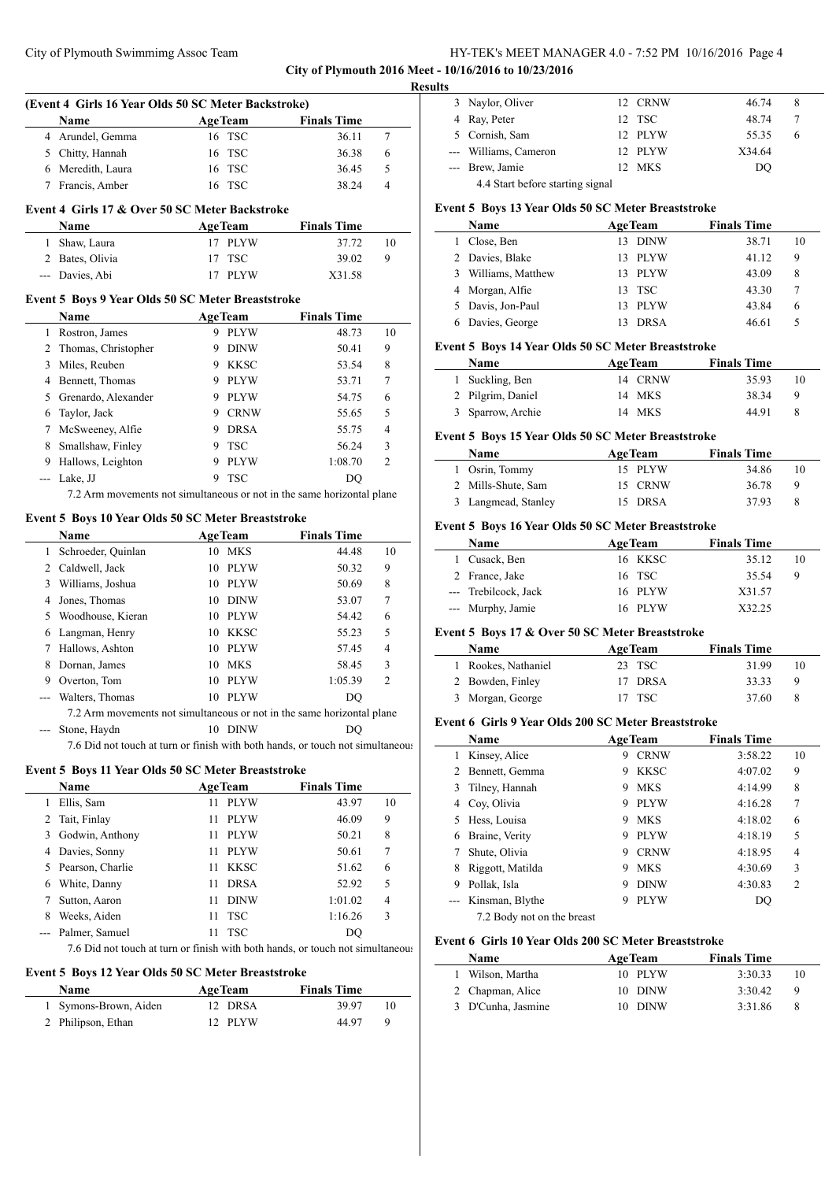## City of Plymouth Swimmimg Assoc Team HY-TEK's MEET MANAGER 4.0 - 7:52 PM 10/16/2016 Page 4 **City of Plymouth 2016 Meet - 10/16/2016 to 10/23/2016**

**Results**

 $\overline{\phantom{a}}$ 

 $\overline{a}$ 

|                | (Event 4 Girls 16 Year Olds 50 SC Meter Backstroke)                            |                |                           |                    |                |
|----------------|--------------------------------------------------------------------------------|----------------|---------------------------|--------------------|----------------|
|                | <b>Name</b>                                                                    | <b>AgeTeam</b> |                           | <b>Finals Time</b> |                |
| 4              | Arundel, Gemma                                                                 | 16             | <b>TSC</b>                | 36.11              | 7              |
|                | 5 Chitty, Hannah                                                               | 16             | <b>TSC</b>                | 36.38              | 6              |
|                | 6 Meredith, Laura                                                              | 16             | <b>TSC</b>                | 36.45              | 5              |
| 7              | Francis, Amber                                                                 |                | 16 TSC                    | 38.24              | 4              |
|                | Event 4 Girls 17 & Over 50 SC Meter Backstroke                                 |                |                           |                    |                |
|                |                                                                                |                |                           |                    |                |
|                | Name                                                                           |                | <b>AgeTeam</b>            | <b>Finals Time</b> |                |
|                | 1 Shaw, Laura                                                                  |                | 17 PLYW                   | 37.72              | 10<br>9        |
|                | 2 Bates, Olivia                                                                | 17             | <b>TSC</b><br><b>PLYW</b> | 39.02              |                |
|                | --- Davies, Abi                                                                | 17             |                           | X31.58             |                |
|                | Event 5 Boys 9 Year Olds 50 SC Meter Breaststroke                              |                |                           |                    |                |
|                | Name                                                                           |                | <b>AgeTeam</b>            | <b>Finals Time</b> |                |
|                | 1 Rostron, James                                                               |                | 9 PLYW                    | 48.73              | 10             |
|                | 2 Thomas, Christopher                                                          |                | 9 DINW                    | 50.41              | 9              |
| 3              | Miles, Reuben                                                                  |                | 9 KKSC                    | 53.54              | 8              |
|                | 4 Bennett, Thomas                                                              |                | 9 PLYW                    | 53.71              | 7              |
|                | 5 Grenardo, Alexander                                                          |                | 9 PLYW                    | 54.75              | 6              |
|                | 6 Taylor, Jack                                                                 |                | 9 CRNW                    | 55.65              | 5              |
|                | 7 McSweeney, Alfie                                                             |                | 9 DRSA                    | 55.75              | 4              |
|                | 8 Smallshaw, Finley                                                            |                | 9 TSC                     | 56.24              | 3              |
|                | 9 Hallows, Leighton                                                            |                | 9 PLYW                    | 1:08.70            | $\overline{c}$ |
| $\sim$         | Lake, JJ                                                                       |                | 9 TSC                     | DQ                 |                |
|                | 7.2 Arm movements not simultaneous or not in the same horizontal plane         |                |                           |                    |                |
|                |                                                                                |                |                           |                    |                |
|                | Event 5 Boys 10 Year Olds 50 SC Meter Breaststroke                             |                |                           |                    |                |
|                | Name                                                                           |                | <b>AgeTeam</b>            | <b>Finals Time</b> |                |
| $\mathbf{1}$   | Schroeder, Quinlan                                                             |                | 10 MKS                    | 44.48              | 10             |
|                | 2 Caldwell, Jack                                                               |                | 10 PLYW                   | 50.32              | 9              |
| 3              | Williams, Joshua                                                               |                | 10 PLYW                   | 50.69              | 8              |
|                | 4 Jones, Thomas                                                                |                | 10 DINW                   | 53.07              | 7              |
| 5              | Woodhouse, Kieran                                                              |                | 10 PLYW                   | 54.42              | 6              |
|                | 6 Langman, Henry                                                               |                | 10 KKSC                   | 55.23              | 5              |
|                | 7 Hallows, Ashton                                                              |                | 10 PLYW                   | 57.45              | 4              |
| 8              | Dornan, James                                                                  |                | 10 MKS                    | 58.45              | 3              |
|                | 9 Overton, Tom                                                                 |                | 10 PLYW                   | 1:05.39            | $\overline{c}$ |
| ---            | Walters, Thomas                                                                |                | 10 PLYW                   | DQ                 |                |
|                | 7.2 Arm movements not simultaneous or not in the same horizontal plane         |                |                           |                    |                |
|                | Stone, Haydn                                                                   |                | 10 DINW                   | DQ                 |                |
|                | 7.6 Did not touch at turn or finish with both hands, or touch not simultaneous |                |                           |                    |                |
|                | Event 5 Boys 11 Year Olds 50 SC Meter Breaststroke                             |                |                           |                    |                |
|                | Name                                                                           |                | <b>AgeTeam</b>            | <b>Finals Time</b> |                |
| 1              | Ellis, Sam                                                                     | 11             | PLYW                      | 43.97              | 10             |
| 2              | Tait, Finlay                                                                   | 11             | PLYW                      | 46.09              | 9              |
| 3              | Godwin, Anthony                                                                | 11             | PLYW                      | 50.21              | 8              |
| $\overline{4}$ | Davies, Sonny                                                                  | 11             | <b>PLYW</b>               | 50.61              | 7              |
| 5              | Pearson, Charlie                                                               | 11             | KKSC                      | 51.62              | 6              |
| 6              | White, Danny                                                                   | 11             | DRSA                      | 52.92              | 5              |
| 7              | Sutton, Aaron                                                                  | 11             | <b>DINW</b>               | 1:01.02            | 4              |
| 8              | Weeks, Aiden                                                                   | 11             | <b>TSC</b>                | 1:16.26            | 3              |
| $ -$           | Palmer, Samuel                                                                 | 11             | TSC                       | DQ                 |                |

7.6 Did not touch at turn or finish with both hands, or touch not simultaneous

#### **Event 5 Boys 12 Year Olds 50 SC Meter Breaststroke**

| <b>Name</b>           | AgeTeam | <b>Finals Time</b> |  |
|-----------------------|---------|--------------------|--|
| 1 Symons-Brown, Aiden | 12 DRSA | 39.97              |  |
| 2 Philipson, Ethan    | 12 PLYW | 44.97              |  |

| 3 Naylor, Oliver                 | 12 CRNW | 46.74  | 8 |  |
|----------------------------------|---------|--------|---|--|
| 4 Ray, Peter                     | 12 TSC  | 48.74  |   |  |
| 5 Cornish, Sam                   | 12 PLYW | 55.35  | h |  |
| --- Williams, Cameron            | 12 PLYW | X34.64 |   |  |
| --- Brew, Jamie                  | 12 MKS  | DO     |   |  |
| 4.4 Start before starting signal |         |        |   |  |

#### **Event 5 Boys 13 Year Olds 50 SC Meter Breaststroke**

| <b>Name</b> |                                                                                                    |             | <b>Finals Time</b>                                      |    |
|-------------|----------------------------------------------------------------------------------------------------|-------------|---------------------------------------------------------|----|
| Close, Ben  | 13.                                                                                                |             | 38.71                                                   | 10 |
|             | 13.                                                                                                |             | 41.12                                                   | 9  |
|             | 13.                                                                                                |             | 43.09                                                   | 8  |
|             |                                                                                                    |             | 43.30                                                   |    |
|             | 13.                                                                                                | PLYW        | 43.84                                                   | 6  |
|             |                                                                                                    | <b>DRSA</b> | 46.61                                                   |    |
|             | 2 Davies, Blake<br>3 Williams, Matthew<br>4 Morgan, Alfie<br>5 Davis, Jon-Paul<br>6 Davies, George |             | <b>AgeTeam</b><br><b>DINW</b><br>PLYW<br>PLYW<br>13 TSC |    |

#### **Event 5 Boys 14 Year Olds 50 SC Meter Breaststroke**

| <b>Name</b>       | <b>AgeTeam</b> | <b>Finals Time</b> |    |
|-------------------|----------------|--------------------|----|
| 1 Suckling, Ben   | 14 CRNW        | 35.93              | 10 |
| 2 Pilgrim, Daniel | 14 MKS         | 38.34              | -Q |
| 3 Sparrow, Archie | 14 MKS         | 44.91              |    |

#### **Event 5 Boys 15 Year Olds 50 SC Meter Breaststroke**

| <b>Name</b>         | <b>AgeTeam</b> | <b>Finals Time</b> |     |
|---------------------|----------------|--------------------|-----|
| 1 Osrin, Tommy      | 15 PLYW        | 34.86              | 10  |
| 2 Mills-Shute, Sam  | 15 CRNW        | 36.78              | - 9 |
| 3 Langmead, Stanley | 15 DRSA        | 37.93              |     |

#### **Event 5 Boys 16 Year Olds 50 SC Meter Breaststroke**

| <b>Name</b>          | <b>AgeTeam</b> | <b>Finals Time</b> |    |
|----------------------|----------------|--------------------|----|
| 1 Cusack, Ben        | 16 KKSC        | 35.12              | 10 |
| 2 France, Jake       | 16 TSC         | 35.54              | 9  |
| --- Trebilcock, Jack | 16 PLYW        | X31.57             |    |
| --- Murphy, Jamie    | 16 PLYW        | X32.25             |    |

#### **Event 5 Boys 17 & Over 50 SC Meter Breaststroke**

| <b>Name</b>         | <b>AgeTeam</b> | <b>Finals Time</b> |
|---------------------|----------------|--------------------|
| 1 Rookes, Nathaniel | 23 TSC         | 31.99<br>10        |
| 2 Bowden, Finley    | 17 DRSA        | 33.33<br>- Q       |
| 3 Morgan, George    | 17 TSC         | 37.60              |

### **Event 6 Girls 9 Year Olds 200 SC Meter Breaststroke**

|    | Name                       |   | <b>AgeTeam</b> | <b>Finals Time</b> |    |
|----|----------------------------|---|----------------|--------------------|----|
|    | Kinsey, Alice              | 9 | <b>CRNW</b>    | 3:58.22            | 10 |
|    | Bennett, Gemma             | 9 | <b>KKSC</b>    | 4:07.02            | 9  |
| 3  | Tilney, Hannah             | 9 | <b>MKS</b>     | 4:14.99            | 8  |
| 4  | Coy, Olivia                | 9 | <b>PLYW</b>    | 4:16.28            | 7  |
| 5. | Hess, Louisa               | 9 | <b>MKS</b>     | 4:18.02            | 6  |
| 6  | Braine, Verity             | 9 | <b>PLYW</b>    | 4:18.19            | 5  |
|    | Shute, Olivia              | 9 | <b>CRNW</b>    | 4:18.95            | 4  |
| 8  | Riggott, Matilda           | 9 | <b>MKS</b>     | 4:30.69            | 3  |
| 9  | Pollak, Isla               | 9 | <b>DINW</b>    | 4:30.83            | 2  |
|    | Kinsman, Blythe            | 9 | <b>PLYW</b>    | DO                 |    |
|    | 7.2 Body not on the breast |   |                |                    |    |

#### **Event 6 Girls 10 Year Olds 200 SC Meter Breaststroke**

| <b>Name</b>        | <b>AgeTeam</b> | <b>Finals Time</b> |    |
|--------------------|----------------|--------------------|----|
| 1 Wilson, Martha   | 10 PLYW        | 3:30.33            |    |
| 2 Chapman, Alice   | 10 DINW        | 3:30.42            | -9 |
| 3 D'Cunha, Jasmine | 10 DINW        | 3:31.86            | 8  |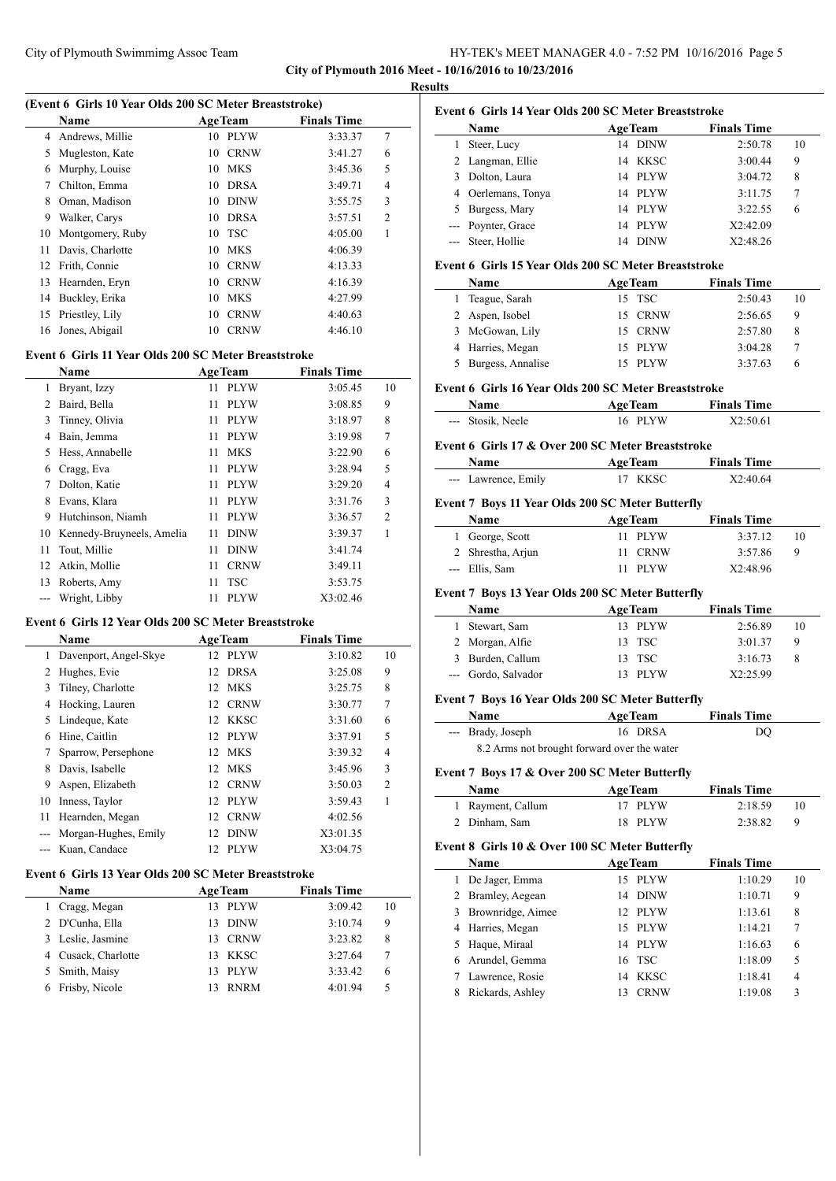## City of Plymouth Swimmimg Assoc Team HY-TEK's MEET MANAGER 4.0 - 7:52 PM 10/16/2016 Page 5 **City of Plymouth 2016 Meet - 10/16/2016 to 10/23/2016**

**Results**

 $\overline{a}$ 

 $\frac{1}{2}$ 

|  |  |  | (Event 6 Girls 10 Year Olds 200 SC Meter Breaststroke) |  |
|--|--|--|--------------------------------------------------------|--|
|  |  |  |                                                        |  |

|    | <b>Name</b>      |    | AgeTeam     | <b>Finals Time</b> |                |
|----|------------------|----|-------------|--------------------|----------------|
| 4  | Andrews, Millie  | 10 | <b>PLYW</b> | 3:33.37            | 7              |
| 5  | Mugleston, Kate  | 10 | <b>CRNW</b> | 3:41.27            | 6              |
| 6  | Murphy, Louise   | 10 | <b>MKS</b>  | 3:45.36            | 5              |
| 7  | Chilton, Emma    | 10 | <b>DRSA</b> | 3:49.71            | 4              |
| 8  | Oman, Madison    | 10 | <b>DINW</b> | 3:55.75            | 3              |
| 9  | Walker, Carys    | 10 | <b>DRSA</b> | 3:57.51            | $\overline{2}$ |
| 10 | Montgomery, Ruby | 10 | TSC         | 4:05.00            | 1              |
| 11 | Davis, Charlotte | 10 | <b>MKS</b>  | 4:06.39            |                |
| 12 | Frith, Connie    | 10 | <b>CRNW</b> | 4:13.33            |                |
| 13 | Hearnden, Eryn   | 10 | <b>CRNW</b> | 4:16.39            |                |
| 14 | Buckley, Erika   | 10 | <b>MKS</b>  | 4:27.99            |                |
| 15 | Priestley, Lily  | 10 | <b>CRNW</b> | 4:40.63            |                |
| 16 | Jones, Abigail   | 10 | <b>CRNW</b> | 4:46.10            |                |
|    |                  |    |             |                    |                |

## **Event 6 Girls 11 Year Olds 200 SC Meter Breaststroke**

| <b>Name</b>   |                           |    | <b>AgeTeam</b> | <b>Finals Time</b> |                |
|---------------|---------------------------|----|----------------|--------------------|----------------|
| 1             | Bryant, Izzy              | 11 | <b>PLYW</b>    | 3:05.45            | 10             |
| $\mathcal{L}$ | Baird, Bella              | 11 | <b>PLYW</b>    | 3:08.85            | 9              |
| 3             | Tinney, Olivia            | 11 | <b>PLYW</b>    | 3:18.97            | 8              |
| 4             | Bain, Jemma               | 11 | <b>PLYW</b>    | 3:19.98            | 7              |
| 5             | Hess, Annabelle           | 11 | <b>MKS</b>     | 3:22.90            | 6              |
| 6             | Cragg, Eva                | 11 | <b>PLYW</b>    | 3:28.94            | 5              |
| 7             | Dolton, Katie             | 11 | <b>PLYW</b>    | 3:29.20            | $\overline{4}$ |
| 8             | Evans, Klara              | 11 | <b>PLYW</b>    | 3:31.76            | 3              |
| 9             | Hutchinson, Niamh         | 11 | <b>PLYW</b>    | 3:36.57            | $\overline{c}$ |
| 10            | Kennedy-Bruyneels, Amelia | 11 | <b>DINW</b>    | 3:39.37            |                |
| 11            | Tout, Millie              | 11 | <b>DINW</b>    | 3:41.74            |                |
| 12            | Atkin, Mollie             | 11 | <b>CRNW</b>    | 3:49.11            |                |
| 13            | Roberts, Amy              | 11 | <b>TSC</b>     | 3:53.75            |                |
|               | Wright, Libby             | 11 | <b>PLYW</b>    | X3:02.46           |                |

#### **Event 6 Girls 12 Year Olds 200 SC Meter Breaststroke**

|    | <b>Name</b>           |    | <b>AgeTeam</b> | <b>Finals Time</b> |                |
|----|-----------------------|----|----------------|--------------------|----------------|
| 1  | Davenport, Angel-Skye |    | 12 PLYW        | 3:10.82            | 10             |
| 2  | Hughes, Evie          |    | 12 DRSA        | 3:25.08            | 9              |
| 3  | Tilney, Charlotte     |    | 12 MKS         | 3:25.75            | 8              |
| 4  | Hocking, Lauren       |    | 12 CRNW        | 3:30.77            | 7              |
| 5. | Lindeque, Kate        |    | 12 KKSC        | 3:31.60            | 6              |
| 6  | Hine, Caitlin         |    | 12 PLYW        | 3:37.91            | 5              |
|    | Sparrow, Persephone   |    | 12 MKS         | 3:39.32            | $\overline{4}$ |
| 8  | Davis, Isabelle       |    | 12 MKS         | 3:45.96            | 3              |
| 9  | Aspen, Elizabeth      |    | 12 CRNW        | 3:50.03            | $\overline{2}$ |
| 10 | Inness, Taylor        | 12 | <b>PLYW</b>    | 3:59.43            |                |
| 11 | Hearnden, Megan       |    | 12 CRNW        | 4:02.56            |                |
|    | Morgan-Hughes, Emily  |    | 12 DINW        | X3:01.35           |                |
|    | Kuan, Candace         | 12 | <b>PLYW</b>    | X3:04.75           |                |
|    |                       |    |                |                    |                |

# **Event 6 Girls 13 Year Olds 200 SC Meter Breaststroke**

| <b>Name</b>         | <b>AgeTeam</b>     | <b>Finals Time</b> |    |
|---------------------|--------------------|--------------------|----|
| Cragg, Megan        | <b>PLYW</b><br>13. | 3:09.42            | 10 |
| 2 D'Cunha, Ella     | <b>DINW</b><br>13  | 3:10.74            | 9  |
| 3 Leslie, Jasmine   | <b>CRNW</b><br>13. | 3:23.82            | 8  |
| 4 Cusack, Charlotte | KKSC<br>13.        | 3:27.64            |    |
| 5 Smith, Maisy      | <b>PLYW</b><br>13. | 3:33.42            | 6  |
| Frisby, Nicole      | <b>RNRM</b>        | 4:01.94            |    |
|                     |                    |                    |    |

|    | Event 6 Girls 14 Year Olds 200 SC Meter Breaststroke |    |                |                    |    |
|----|------------------------------------------------------|----|----------------|--------------------|----|
|    | Name                                                 |    | <b>AgeTeam</b> | <b>Finals Time</b> |    |
|    | Steer, Lucy                                          |    | 14 DINW        | 2:50.78            | 10 |
|    | 2 Langman, Ellie                                     | 14 | KKSC           | 3:00.44            | 9  |
| 3. | Dolton, Laura                                        | 14 | PLYW           | 3:04.72            | 8  |
|    | 4 Oerlemans, Tonya                                   |    | 14 PLYW        | 3:11.75            | 7  |
| 5. | Burgess, Mary                                        | 14 | PLYW           | 3:22.55            | 6  |
|    | --- Poynter, Grace                                   | 14 | PLYW           | X2:42.09           |    |
|    | --- Steer, Hollie                                    | 14 | <b>DINW</b>    | X2:48.26           |    |

#### **Event 6 Girls 15 Year Olds 200 SC Meter Breaststroke**

| <b>Name</b>       | <b>AgeTeam</b> | <b>Finals Time</b> |    |
|-------------------|----------------|--------------------|----|
| Teague, Sarah     | 15 TSC         | 2:50.43            | 10 |
| 2 Aspen, Isobel   | 15 CRNW        | 2:56.65            | 9  |
| 3 McGowan, Lily   | 15 CRNW        | 2:57.80            | 8  |
| 4 Harries, Megan  | 15 PLYW        | 3:04.28            |    |
| Burgess, Annalise | <b>PLYW</b>    | 3:37.63            | h  |

#### **Event 6 Girls 16 Year Olds 200 SC Meter Breaststroke**

| Name              | <b>AgeTeam</b> | <b>Finals Time</b> |
|-------------------|----------------|--------------------|
| --- Stosik, Neele | 16 PLYW        | X2:50.61           |

### **Event 6 Girls 17 & Over 200 SC Meter Breaststroke**

| Name                | <b>AgeTeam</b> | <b>Finals Time</b> |
|---------------------|----------------|--------------------|
| --- Lawrence, Emily | 17 KKSC        | X2:40.64           |

#### **Event 7 Boys 11 Year Olds 200 SC Meter Butterfly**

| <b>Name</b>       | <b>AgeTeam</b> | <b>Finals Time</b> |    |
|-------------------|----------------|--------------------|----|
| 1 George, Scott   | 11 PLYW        | 3:37.12            | 10 |
| 2 Shrestha, Arjun | 11 CRNW        | 3:57.86            | Q  |
| --- Ellis, Sam    | 11 PLYW        | X2:48.96           |    |

### **Event 7 Boys 13 Year Olds 200 SC Meter Butterfly**

| <b>Name</b>         | <b>AgeTeam</b> | <b>Finals Time</b> |    |
|---------------------|----------------|--------------------|----|
| 1 Stewart, Sam      | 13 PLYW        | 2:56.89            | 10 |
| 2 Morgan, Alfie     | 13 TSC         | 3:01.37            | 9  |
| 3 Burden, Callum    | 13 TSC         | 3:16.73            |    |
| --- Gordo, Salvador | 13 PLYW        | X2:25.99           |    |

#### **Event 7 Boys 16 Year Olds 200 SC Meter Butterfly**

| <b>Name</b>       | <b>AgeTeam</b>                              | <b>Finals Time</b> |
|-------------------|---------------------------------------------|--------------------|
| --- Brady, Joseph | 16 DRSA                                     | DO                 |
|                   | 8.2 Arms not brought forward over the water |                    |

## **Event 7 Boys 17 & Over 200 SC Meter Butterfly**

| <b>Name</b>       | <b>AgeTeam</b> | <b>Finals Time</b> |  |
|-------------------|----------------|--------------------|--|
| 1 Rayment, Callum | 17 PLYW        | 2:18.59            |  |
| 2 Dinham, Sam     | 18 PLYW        | 2:38.82            |  |

#### **Event 8 Girls 10 & Over 100 SC Meter Butterfly**

|   | <b>Name</b>         |    | <b>AgeTeam</b> | <b>Finals Time</b> |    |
|---|---------------------|----|----------------|--------------------|----|
| L | De Jager, Emma      | 15 | PLYW           | 1:10.29            | 10 |
|   | 2 Bramley, Aegean   | 14 | <b>DINW</b>    | 1:10.71            | 9  |
|   | 3 Brownridge, Aimee |    | 12 PLYW        | 1:13.61            | 8  |
|   | 4 Harries, Megan    | 15 | PLYW           | 1:14.21            | 7  |
|   | 5 Haque, Miraal     | 14 | PLYW           | 1:16.63            | 6  |
|   | 6 Arundel, Gemma    |    | 16 TSC         | 1:18.09            | 5  |
|   | 7 Lawrence, Rosie   | 14 | KKSC           | 1:18.41            | 4  |
|   | Rickards, Ashley    |    | <b>CRNW</b>    | 1:19.08            | 3  |
|   |                     |    |                |                    |    |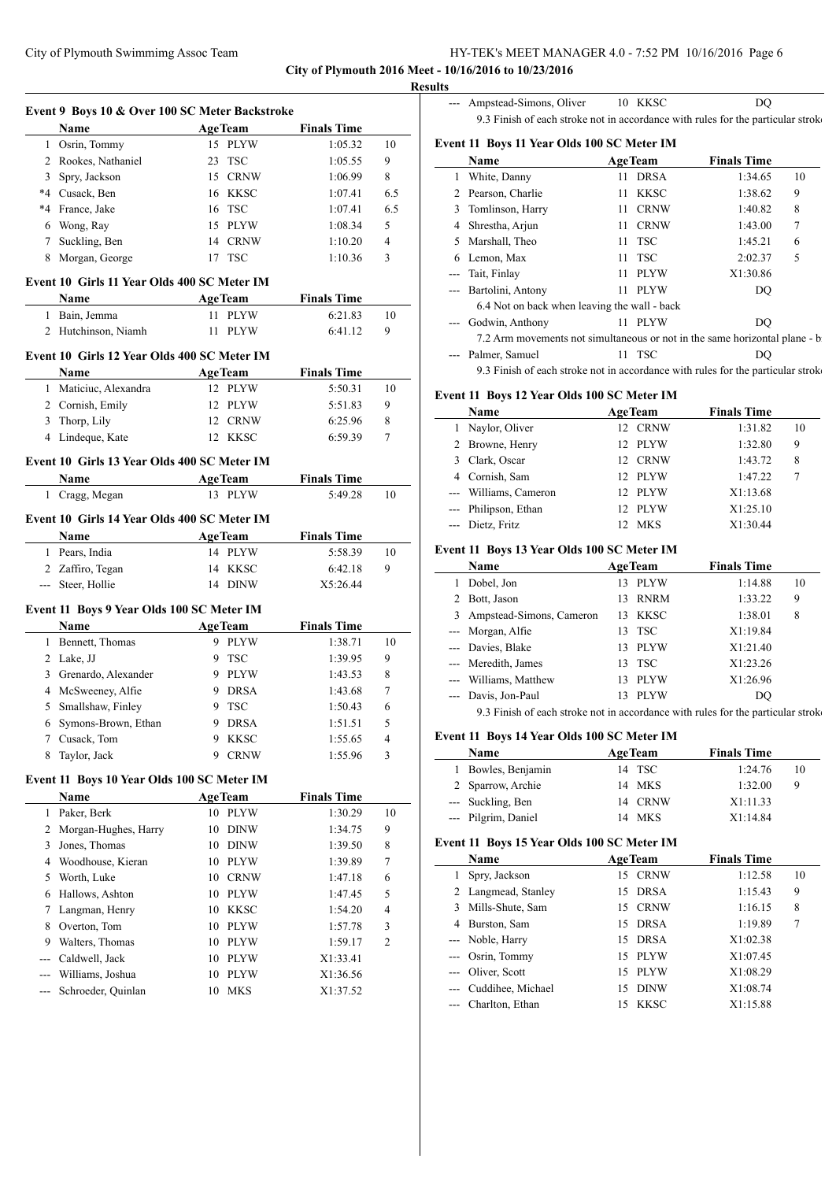## City of Plymouth Swimmimg Assoc Team HY-TEK's MEET MANAGER 4.0 - 7:52 PM 10/16/2016 Page 6 **City of Plymouth 2016 Meet - 10/16/2016 to 10/23/2016**

**Results**

 $\overline{\phantom{0}}$ 

|                | Name                                        | <b>AgeTeam</b>    | <b>Finals Time</b> |                |
|----------------|---------------------------------------------|-------------------|--------------------|----------------|
|                | 1 Osrin, Tommy                              | 15 PLYW           | 1:05.32            | 10             |
| $\overline{2}$ | Rookes, Nathaniel                           | 23<br><b>TSC</b>  | 1:05.55            | 9              |
| 3              | Spry, Jackson                               | 15 CRNW           | 1:06.99            | 8              |
|                | *4 Cusack, Ben                              | 16 KKSC           | 1:07.41            | 6.5            |
| $*4$           | France, Jake                                | 16 TSC            | 1:07.41            | 6.5            |
| 6              | Wong, Ray                                   | 15 PLYW           | 1:08.34            | 5              |
| 7              | Suckling, Ben                               | 14 CRNW           | 1:10.20            | $\overline{4}$ |
| 8              | Morgan, George                              | <b>TSC</b><br>17  | 1:10.36            | 3              |
|                | Event 10 Girls 11 Year Olds 400 SC Meter IM |                   |                    |                |
|                | Name                                        | <b>AgeTeam</b>    | <b>Finals Time</b> |                |
| 1              | Bain, Jemma                                 | 11 PLYW           | 6:21.83            | 10             |
|                | 2 Hutchinson, Niamh                         | 11 PLYW           | 6:41.12            | 9              |
|                | Event 10 Girls 12 Year Olds 400 SC Meter IM |                   |                    |                |
|                | Name                                        | <b>AgeTeam</b>    | <b>Finals Time</b> |                |
|                | 1 Maticiuc, Alexandra                       | 12 PLYW           | 5:50.31            | 10             |
|                | 2 Cornish, Emily                            | 12 PLYW           | 5:51.83            | 9              |
| 3              | Thorp, Lily                                 | 12 CRNW           | 6:25.96            | 8              |
|                | 4 Lindeque, Kate                            | 12 KKSC           | 6:59.39            | 7              |
|                | Event 10 Girls 13 Year Olds 400 SC Meter IM |                   |                    |                |
|                | Name                                        | <b>AgeTeam</b>    | <b>Finals Time</b> |                |
|                | 1 Cragg, Megan                              | 13 PLYW           | 5:49.28            | 10             |
|                | Event 10 Girls 14 Year Olds 400 SC Meter IM |                   |                    |                |
|                | Name                                        | <b>AgeTeam</b>    | <b>Finals Time</b> |                |
| 1              | Pears, India                                | 14 PLYW           | 5:58.39            | 10             |
|                | 2 Zaffiro, Tegan                            | 14 KKSC           | 6:42.18            | 9              |
|                | --- Steer, Hollie                           | 14 DINW           | X5:26.44           |                |
|                | Event 11 Boys 9 Year Olds 100 SC Meter IM   |                   |                    |                |
|                | Name                                        | <b>AgeTeam</b>    | <b>Finals Time</b> |                |
|                | 1 Bennett, Thomas                           | 9 PLYW            | 1:38.71            | 10             |
|                | 2 Lake, JJ                                  | 9 TSC             | 1:39.95            | 9              |
|                | 3 Grenardo, Alexander                       | 9 PLYW            | 1:43.53            | 8              |
|                | 4 McSweeney, Alfie                          | 9 DRSA            | 1:43.68            | 7              |
| 5              | Smallshaw, Finley                           | 9 TSC             | 1:50.43            | 6              |
|                | Symons-Brown, Ethan                         | 9<br><b>DRSA</b>  | 1:51.51            | 5              |
| 6              | Cusack, Tom                                 | 9<br>KKSC         | 1:55.65            | 4              |
| 7              |                                             |                   |                    |                |
| 8              | Taylor, Jack                                | <b>CRNW</b><br>9  | 1:55.96            | 3              |
|                | Event 11 Boys 10 Year Olds 100 SC Meter IM  |                   |                    |                |
|                | Name                                        | <b>AgeTeam</b>    | <b>Finals Time</b> |                |
| 1              | Paker, Berk                                 | 10 PLYW           | 1:30.29            | 10             |
| 2              | Morgan-Hughes, Harry                        | <b>DINW</b><br>10 | 1:34.75            | 9              |
| 3              | Jones, Thomas                               | 10 DINW           | 1:39.50            | 8              |
| 4              | Woodhouse, Kieran                           | 10 PLYW           | 1:39.89            | 7              |
| 5              | Worth, Luke                                 | <b>CRNW</b><br>10 | 1:47.18            | 6              |
| 6              | Hallows, Ashton                             | <b>PLYW</b><br>10 | 1:47.45            | 5              |
| 7              | Langman, Henry                              | KKSC<br>10        | 1:54.20            | 4              |
| 8              | Overton, Tom                                | <b>PLYW</b><br>10 | 1:57.78            | 3              |
| 9              | Walters, Thomas                             | <b>PLYW</b><br>10 | 1:59.17            | 2              |
|                | Caldwell, Jack                              | 10 PLYW           | X1:33.41           |                |
| ---<br>---     | Williams, Joshua                            | PLYW<br>10        | X1:36.56           |                |

| --- Ampstead-Simons, Oliver                | 10 KKSC        | DO                                                                               |
|--------------------------------------------|----------------|----------------------------------------------------------------------------------|
|                                            |                | 9.3 Finish of each stroke not in accordance with rules for the particular stroke |
| Event 11 Boys 11 Year Olds 100 SC Meter IM |                |                                                                                  |
| <b>Name</b>                                | <b>AgeTeam</b> | <b>Finals Time</b>                                                               |
|                                            |                |                                                                                  |

| 1                                                                                                                         | White, Danny                                                               | 11 | <b>DRSA</b> | 1:34.65  | 10 |
|---------------------------------------------------------------------------------------------------------------------------|----------------------------------------------------------------------------|----|-------------|----------|----|
| 2                                                                                                                         | Pearson, Charlie                                                           | 11 | KKSC        | 1:38.62  | 9  |
| 3                                                                                                                         | Tomlinson, Harry                                                           | 11 | <b>CRNW</b> | 1:40.82  | 8  |
| 4                                                                                                                         | Shrestha, Arjun                                                            | 11 | <b>CRNW</b> | 1:43.00  | 7  |
| 5                                                                                                                         | Marshall, Theo                                                             |    | $11$ TSC    | 1:45.21  | 6  |
| 6                                                                                                                         | Lemon, Max                                                                 |    | $11$ TSC    | 2:02.37  | 5  |
|                                                                                                                           | Tait, Finlay                                                               | 11 | <b>PLYW</b> | X1:30.86 |    |
|                                                                                                                           | --- Bartolini, Antony                                                      | 11 | <b>PLYW</b> | DO       |    |
|                                                                                                                           | 6.4 Not on back when leaving the wall - back                               |    |             |          |    |
| $\frac{1}{2} \left( \frac{1}{2} \right) \left( \frac{1}{2} \right) \left( \frac{1}{2} \right) \left( \frac{1}{2} \right)$ | Godwin, Anthony                                                            | 11 | <b>PLYW</b> | DO       |    |
|                                                                                                                           | 7.2 Arm movements not simultaneous or not in the same horizontal plane - b |    |             |          |    |
|                                                                                                                           | Palmer, Samuel                                                             | 11 | <b>TSC</b>  | DΟ       |    |

9.3 Finish of each stroke not in accordance with rules for the particular stroke

## **Event 11 Boys 12 Year Olds 100 SC Meter IM**

| Name                  | <b>AgeTeam</b>  |             | <b>Finals Time</b> |    |
|-----------------------|-----------------|-------------|--------------------|----|
| 1 Naylor, Oliver      | 12 <sub>1</sub> | <b>CRNW</b> | 1:31.82            | 10 |
| 2 Browne, Henry       |                 | 12 PLYW     | 1:32.80            | 9  |
| 3 Clark, Oscar        | 12 <sub>1</sub> | <b>CRNW</b> | 1:43.72            | 8  |
| 4 Cornish, Sam        |                 | 12 PLYW     | 1:47.22            | 7  |
| --- Williams, Cameron |                 | 12 PLYW     | X1:13.68           |    |
| --- Philipson, Ethan  |                 | 12 PLYW     | X1:25.10           |    |
| --- Dietz, Fritz      | 12              | <b>MKS</b>  | X1:30.44           |    |

## **Event 11 Boys 13 Year Olds 100 SC Meter IM**

|   | Name                                                                             |    | <b>AgeTeam</b> | <b>Finals Time</b> |    |
|---|----------------------------------------------------------------------------------|----|----------------|--------------------|----|
|   | Dobel, Jon                                                                       | 13 | PLYW           | 1:14.88            | 10 |
| 2 | Bott, Jason                                                                      |    | 13 RNRM        | 1:33.22            | 9  |
| 3 | Ampstead-Simons, Cameron                                                         |    | 13 KKSC        | 1:38.01            | 8  |
|   | --- Morgan, Alfie                                                                |    | 13 TSC         | X1:19.84           |    |
|   | --- Davies, Blake                                                                |    | 13 PLYW        | X1:21.40           |    |
|   | --- Meredith, James                                                              |    | 13 TSC         | X1:23.26           |    |
|   | --- Williams, Matthew                                                            | 13 | PLYW           | X1:26.96           |    |
|   | Davis, Jon-Paul                                                                  | 13 | <b>PLYW</b>    | DO                 |    |
|   | 9.3 Finish of each stroke not in accordance with rules for the particular stroke |    |                |                    |    |

## **Event 11 Boys 14 Year Olds 100 SC Meter IM**

| <b>Name</b>         | <b>AgeTeam</b> | <b>Finals Time</b> |    |
|---------------------|----------------|--------------------|----|
| 1 Bowles, Benjamin  | 14 TSC         | 1:24.76            | 10 |
| 2 Sparrow, Archie   | 14 MKS         | 1:32.00            | 9  |
| --- Suckling, Ben   | 14 CRNW        | X1:11.33           |    |
| --- Pilgrim, Daniel | 14 MKS         | X1:14.84           |    |

#### **Event 11 Boys 15 Year Olds 100 SC Meter IM**

 $\overline{a}$ 

|   | Name                  |    | <b>AgeTeam</b> | <b>Finals Time</b> |    |
|---|-----------------------|----|----------------|--------------------|----|
|   | Spry, Jackson         |    | 15 CRNW        | 1:12.58            | 10 |
|   | 2 Langmead, Stanley   |    | 15 DRSA        | 1:15.43            | 9  |
| 3 | Mills-Shute, Sam      |    | 15 CRNW        | 1:16.15            | 8  |
|   | Burston, Sam          |    | 15 DRSA        | 1:19.89            | 7  |
|   | --- Noble, Harry      |    | 15 DRSA        | X1:02.38           |    |
|   | --- Osrin, Tommy      |    | 15 PLYW        | X1:07.45           |    |
|   | --- Oliver, Scott     |    | 15 PLYW        | X1:08.29           |    |
|   | --- Cuddihee, Michael | 15 | <b>DINW</b>    | X1:08.74           |    |
|   | --- Charlton, Ethan   | 15 | KKSC           | X1:15.88           |    |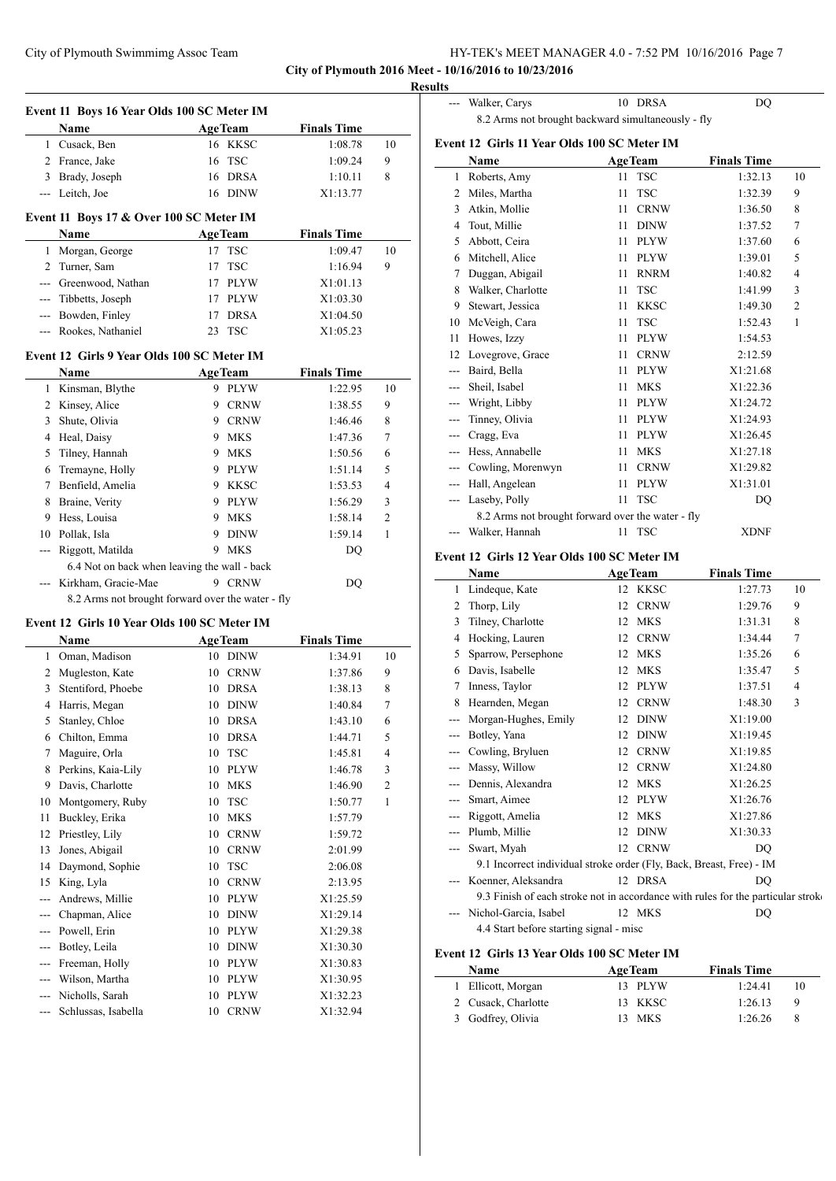|                                                       | HY-TEK's MEET MANAGER 4.0 - 7:52 PM 10/16/2016 Page 7 |  |
|-------------------------------------------------------|-------------------------------------------------------|--|
| City of Plymouth 2016 Meet - 10/16/2016 to 10/23/2016 |                                                       |  |

**Results**

 $\frac{1}{2}$ 

|                | Event 11 Boys 16 Year Olds 100 SC Meter IM<br>Name                       |          | <b>AgeTeam</b>      | <b>Finals Time</b>   |                         |
|----------------|--------------------------------------------------------------------------|----------|---------------------|----------------------|-------------------------|
|                | 1 Cusack, Ben                                                            |          | 16 KKSC             | 1:08.78              | 10                      |
|                | 2 France, Jake                                                           | 16       | <b>TSC</b>          | 1:09.24              | 9                       |
|                | 3 Brady, Joseph                                                          | 16       | <b>DRSA</b>         | 1:10.11              | 8                       |
|                | --- Leitch, Joe                                                          |          | 16 DINW             | X1:13.77             |                         |
|                | Event 11 Boys 17 & Over 100 SC Meter IM                                  |          |                     |                      |                         |
|                | Name                                                                     |          | <b>AgeTeam</b>      | <b>Finals Time</b>   |                         |
| 1              | Morgan, George                                                           | 17       | <b>TSC</b>          | 1:09.47              | 10                      |
| $\overline{2}$ | Turner, Sam                                                              | 17       | <b>TSC</b>          | 1:16.94              | 9                       |
|                | --- Greenwood, Nathan                                                    | 17       | <b>PLYW</b>         | X1:01.13             |                         |
|                | --- Tibbetts, Joseph                                                     | 17       | <b>PLYW</b>         | X1:03.30             |                         |
|                | --- Bowden, Finley                                                       | 17       | <b>DRSA</b>         | X1:04.50             |                         |
|                | --- Rookes, Nathaniel                                                    | 23       | <b>TSC</b>          | X1:05.23             |                         |
|                | Event 12 Girls 9 Year Olds 100 SC Meter IM                               |          |                     |                      |                         |
|                | Name                                                                     |          | <b>AgeTeam</b>      | <b>Finals Time</b>   |                         |
|                | 1 Kinsman, Blythe                                                        |          | 9 PLYW              | 1:22.95              | 10                      |
|                | 2 Kinsey, Alice                                                          |          | 9 CRNW              | 1:38.55              | 9                       |
|                | 3 Shute, Olivia                                                          |          | 9 CRNW              | 1:46.46              | 8                       |
|                | 4 Heal, Daisy                                                            |          | 9 MKS               | 1:47.36              | 7                       |
|                | 5 Tilney, Hannah                                                         | 9.       | <b>MKS</b>          | 1:50.56              | 6                       |
| 6              | Tremayne, Holly                                                          |          | 9 PLYW              | 1:51.14              | 5                       |
|                | 7 Benfield, Amelia                                                       |          | 9 KKSC              | 1:53.53              | 4                       |
| 8              | Braine, Verity                                                           |          | 9 PLYW              | 1:56.29              | 3                       |
|                | 9 Hess, Louisa                                                           | 9.       | <b>MKS</b>          | 1:58.14              | 2                       |
| 10             | Pollak, Isla                                                             | 9        | <b>DINW</b>         | 1:59.14              | 1                       |
| ---            | Riggott, Matilda                                                         | 9.       | <b>MKS</b>          |                      |                         |
|                | 6.4 Not on back when leaving the wall - back                             |          |                     | DQ                   |                         |
|                |                                                                          |          | 9 CRNW              |                      |                         |
|                | Kirkham, Gracie-Mae<br>8.2 Arms not brought forward over the water - fly |          |                     | DQ                   |                         |
|                | Event 12 Girls 10 Year Olds 100 SC Meter IM                              |          |                     |                      |                         |
|                | Name                                                                     |          | <b>AgeTeam</b>      | <b>Finals Time</b>   |                         |
|                |                                                                          |          | 10 DINW             | 1:34.91              |                         |
|                | 1 Oman, Madison                                                          |          |                     |                      |                         |
|                | 2 Mugleston, Kate                                                        | 10       | <b>CRNW</b>         | 1:37.86              | 9                       |
| 3              | Stentiford, Phoebe                                                       | 10       | <b>DRSA</b>         | 1:38.13              | 8                       |
|                | 4 Harris, Megan                                                          | 10       | <b>DINW</b>         | 1:40.84              | 7                       |
| 5              |                                                                          | 10       |                     |                      | 6                       |
| 6              | Stanley, Chloe<br>Chilton, Emma                                          | 10       | DRSA<br>DRSA        | 1:43.10<br>1:44.71   | 5                       |
| 7              |                                                                          | 10       | <b>TSC</b>          | 1:45.81              | $\overline{\mathbf{4}}$ |
| 8              | Maguire, Orla                                                            | 10       | <b>PLYW</b>         | 1:46.78              | 3                       |
|                | Perkins, Kaia-Lily                                                       |          |                     |                      |                         |
|                | 9 Davis, Charlotte                                                       | 10       | MKS                 | 1:46.90              | $\mathbf{2}$            |
| 10             | Montgomery, Ruby                                                         | 10       | TSC                 | 1:50.77              | 1                       |
| 11             | Buckley, Erika                                                           | 10       | MKS                 | 1:57.79              |                         |
| 12             | Priestley, Lily                                                          | 10       | <b>CRNW</b>         | 1:59.72              |                         |
| 13             | Jones, Abigail                                                           | 10       | <b>CRNW</b>         | 2:01.99              |                         |
| 14             | Daymond, Sophie                                                          | 10       | <b>TSC</b>          | 2:06.08              |                         |
| 15             | King, Lyla                                                               | 10       | <b>CRNW</b>         | 2:13.95              |                         |
| ---            | Andrews, Millie                                                          | 10       | PLYW                | X1:25.59             |                         |
| ---            | Chapman, Alice                                                           | 10       | <b>DINW</b>         | X1:29.14             |                         |
| $---$          | Powell, Erin                                                             | 10       | PLYW                | X1:29.38             |                         |
| $---$          | Botley, Leila                                                            | 10       | <b>DINW</b>         | X1:30.30             |                         |
|                | --- Freeman, Holly                                                       | 10       | <b>PLYW</b>         | X1:30.83             | 10                      |
|                | --- Wilson, Martha                                                       | 10       | PLYW                | X1:30.95             |                         |
| $---$<br>$---$ | Nicholls, Sarah<br>Schlussas, Isabella                                   | 10<br>10 | PLYW<br><b>CRNW</b> | X1:32.23<br>X1:32.94 |                         |

|         | Walker, Carys                                      | 10 | <b>DRSA</b>    | DQ                 |                |
|---------|----------------------------------------------------|----|----------------|--------------------|----------------|
|         | 8.2 Arms not brought backward simultaneously - fly |    |                |                    |                |
|         | Event 12 Girls 11 Year Olds 100 SC Meter IM        |    |                |                    |                |
|         | Name                                               |    | <b>AgeTeam</b> | <b>Finals Time</b> |                |
| 1       | Roberts, Amy                                       | 11 | <b>TSC</b>     | 1:32.13            | 10             |
| 2       | Miles, Martha                                      | 11 | <b>TSC</b>     | 1:32.39            | 9              |
| 3       | Atkin, Mollie                                      | 11 | <b>CRNW</b>    | 1:36.50            | 8              |
| 4       | Tout, Millie                                       | 11 | <b>DINW</b>    | 1:37.52            | $\overline{7}$ |
| 5       | Abbott, Ceira                                      | 11 | <b>PLYW</b>    | 1:37.60            | 6              |
| 6       | Mitchell, Alice                                    | 11 | <b>PLYW</b>    | 1:39.01            | 5              |
| 7       | Duggan, Abigail                                    | 11 | <b>RNRM</b>    | 1:40.82            | $\overline{4}$ |
| 8       | Walker, Charlotte                                  | 11 | <b>TSC</b>     | 1:41.99            | 3              |
| 9       | Stewart, Jessica                                   | 11 | <b>KKSC</b>    | 1:49.30            | $\overline{2}$ |
| 10      | McVeigh, Cara                                      | 11 | <b>TSC</b>     | 1:52.43            | 1              |
| 11      | Howes, Izzy                                        | 11 | <b>PLYW</b>    | 1:54.53            |                |
| 12      | Lovegrove, Grace                                   | 11 | <b>CRNW</b>    | 2:12.59            |                |
| $---$   | Baird, Bella                                       | 11 | <b>PLYW</b>    | X1:21.68           |                |
| $---$   | Sheil, Isabel                                      | 11 | <b>MKS</b>     | X1:22.36           |                |
| $---$   | Wright, Libby                                      | 11 | <b>PLYW</b>    | X1:24.72           |                |
| $- - -$ | Tinney, Olivia                                     | 11 | <b>PLYW</b>    | X1:24.93           |                |
| ---     | Cragg, Eva                                         | 11 | <b>PLYW</b>    | X1:26.45           |                |
| $---$   | Hess, Annabelle                                    | 11 | <b>MKS</b>     | X1:27.18           |                |
| $- - -$ | Cowling, Morenwyn                                  | 11 | <b>CRNW</b>    | X1:29.82           |                |
| $---$   | Hall, Angelean                                     | 11 | <b>PLYW</b>    | X1:31.01           |                |
| $---$   | Laseby, Polly                                      | 11 | <b>TSC</b>     | DQ                 |                |
|         | 8.2 Arms not brought forward over the water - fly  |    |                |                    |                |
|         | Walker, Hannah                                     | 11 | <b>TSC</b>     | <b>XDNF</b>        |                |
|         |                                                    |    |                |                    |                |

# **Event 12 Girls 12 Year Olds 100 SC Meter IM**

|       | Name                                                                             |    | <b>AgeTeam</b> | <b>Finals Time</b> |                |
|-------|----------------------------------------------------------------------------------|----|----------------|--------------------|----------------|
| 1     | Lindeque, Kate                                                                   | 12 | <b>KKSC</b>    | 1:27.73            | 10             |
| 2     | Thorp, Lily                                                                      | 12 | <b>CRNW</b>    | 1:29.76            | 9              |
| 3     | Tilney, Charlotte                                                                | 12 | <b>MKS</b>     | 1:31.31            | 8              |
| 4     | Hocking, Lauren                                                                  | 12 | <b>CRNW</b>    | 1:34.44            | 7              |
| 5     | Sparrow, Persephone                                                              | 12 | <b>MKS</b>     | 1:35.26            | 6              |
| 6     | Davis, Isabelle                                                                  | 12 | <b>MKS</b>     | 1:35.47            | 5              |
| 7     | Inness, Taylor                                                                   | 12 | <b>PLYW</b>    | 1:37.51            | $\overline{4}$ |
| 8     | Hearnden, Megan                                                                  | 12 | <b>CRNW</b>    | 1:48.30            | 3              |
| $---$ | Morgan-Hughes, Emily                                                             | 12 | <b>DINW</b>    | X1:19.00           |                |
| $---$ | Botley, Yana                                                                     | 12 | <b>DINW</b>    | X1:19.45           |                |
|       | Cowling, Bryluen                                                                 | 12 | <b>CRNW</b>    | X1:19.85           |                |
| ---   | Massy, Willow                                                                    | 12 | <b>CRNW</b>    | X1:24.80           |                |
|       | Dennis, Alexandra                                                                | 12 | <b>MKS</b>     | X1:26.25           |                |
| ---   | Smart, Aimee                                                                     | 12 | <b>PLYW</b>    | X1:26.76           |                |
| $---$ | Riggott, Amelia                                                                  | 12 | <b>MKS</b>     | X1:27.86           |                |
| ---   | Plumb, Millie                                                                    | 12 | <b>DINW</b>    | X1:30.33           |                |
| ---   | Swart, Myah                                                                      | 12 | <b>CRNW</b>    | DO                 |                |
|       | 9.1 Incorrect individual stroke order (Fly, Back, Breast, Free) - IM             |    |                |                    |                |
|       | Koenner, Aleksandra                                                              |    | 12 DRSA        | DQ                 |                |
|       | 9.3 Finish of each stroke not in accordance with rules for the particular stroke |    |                |                    |                |
|       | Nichol-Garcia, Isabel                                                            |    | 12 MKS         | DQ                 |                |
|       | 4.4 Start before starting signal - misc                                          |    |                |                    |                |
|       |                                                                                  |    |                |                    |                |

## **Event 12 Girls 13 Year Olds 100 SC Meter IM**

| <b>Name</b>         | <b>AgeTeam</b> | <b>Finals Time</b> |    |
|---------------------|----------------|--------------------|----|
| 1 Ellicott, Morgan  | 13 PLYW        | 1:24.41            | 10 |
| 2 Cusack, Charlotte | 13 KKSC        | 1:26.13            | Q  |
| 3 Godfrey, Olivia   | 13 MKS         | 1:26.26            | 8  |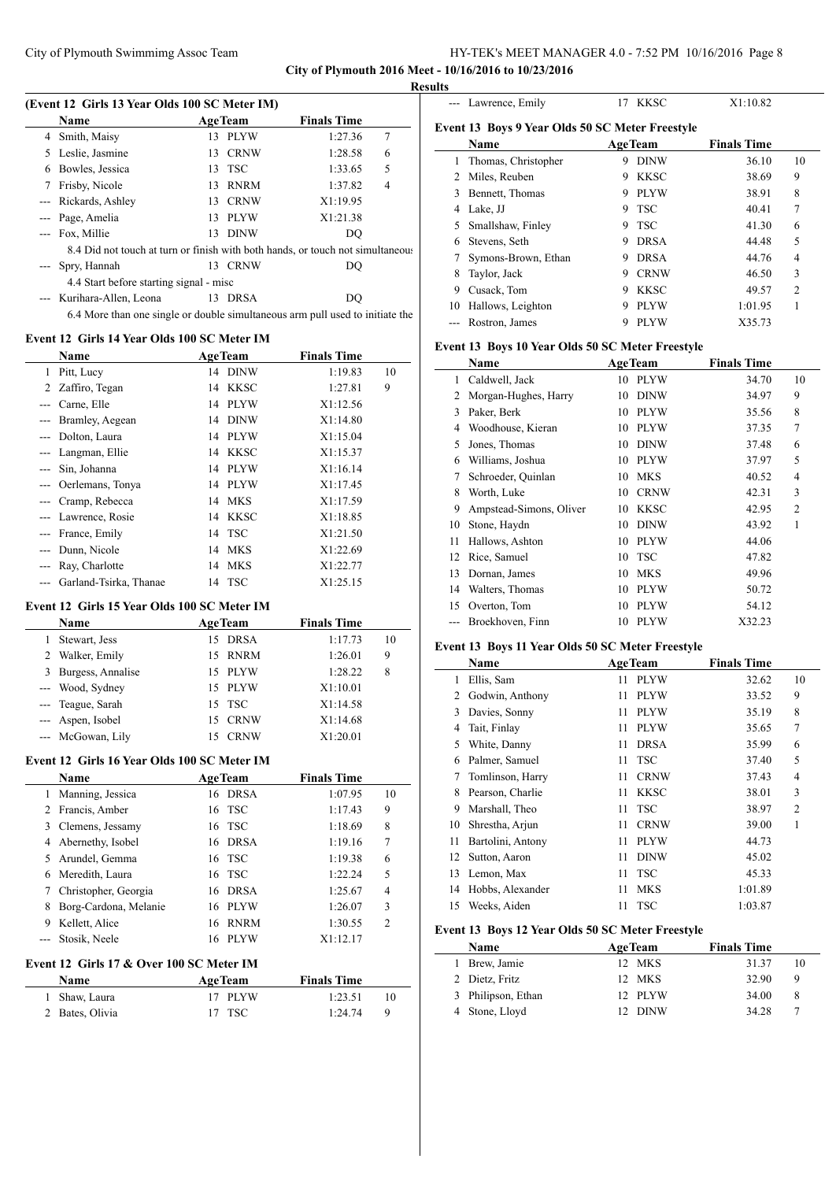## City of Plymouth Swimmimg Assoc Team HY-TEK's MEET MANAGER 4.0 - 7:52 PM 10/16/2016 Page 8 **City of Plymouth 2016 Meet - 10/16/2016 to 10/23/2016**

**Results**

| <b>Name</b>                                                                    | <b>AgeTeam</b>                       | <b>Finals Time</b> |   |
|--------------------------------------------------------------------------------|--------------------------------------|--------------------|---|
| 4 Smith, Maisy                                                                 | 13 PLYW                              | 1:27.36            | 7 |
| Leslie, Jasmine<br>5.                                                          | 13 CRNW                              | 1:28.58            | 6 |
| Bowles, Jessica<br>6                                                           | 13 TSC                               | 1:33.65            | 5 |
| Frisby, Nicole<br>7                                                            | 13 RNRM                              | 1:37.82            | 4 |
| --- Rickards, Ashley                                                           | 13 CRNW                              | X1:19.95           |   |
| --- Page, Amelia                                                               | 13 PLYW                              | X1:21.38           |   |
| --- Fox, Millie                                                                | 13 DINW                              | DQ                 |   |
| 8.4 Did not touch at turn or finish with both hands, or touch not simultaneous |                                      |                    |   |
| --- Spry, Hannah                                                               | 13 CRNW                              | DO                 |   |
| 4.4 Start before starting signal - misc                                        |                                      |                    |   |
| --- Kurihara-Allen, Leona                                                      | 13 DRSA                              | DO                 |   |
| 6.4 More than one single or double simultaneous arm pull used to initiate the  |                                      |                    |   |
| Event 12 Girls 14 Year Olds 100 SC Meter IM                                    |                                      |                    |   |
| $N = 0$                                                                        | $\Lambda$ co. The space of $\Lambda$ | Einele Times       |   |

|       | <b>Name</b>                |    | <b>AgeTeam</b> | <b>Finals Time</b> |    |
|-------|----------------------------|----|----------------|--------------------|----|
| 1     | Pitt, Lucy                 |    | 14 DINW        | 1:19.83            | 10 |
| 2     | Zaffiro, Tegan             | 14 | <b>KKSC</b>    | 1:27.81            | 9  |
|       | Carne, Elle                |    | 14 PLYW        | X1:12.56           |    |
|       | Bramley, Aegean            | 14 | <b>DINW</b>    | X1:14.80           |    |
|       | Dolton, Laura              |    | 14 PLYW        | X1:15.04           |    |
|       | Langman, Ellie             | 14 | <b>KKSC</b>    | X1:15.37           |    |
|       | Sin, Johanna               |    | 14 PLYW        | X1:16.14           |    |
|       | Oerlemans, Tonya           |    | 14 PLYW        | X1:17.45           |    |
| $---$ | Cramp, Rebecca             |    | 14 MKS         | X1:17.59           |    |
| $---$ | Lawrence, Rosie            |    | 14 KKSC        | X1:18.85           |    |
| $---$ | France, Emily              |    | 14 TSC         | X1:21.50           |    |
|       | Dunn, Nicole               |    | 14 MKS         | X1:22.69           |    |
|       | Ray, Charlotte             |    | 14 MKS         | X1:22.77           |    |
|       | --- Garland-Tsirka, Thanae |    | 14 TSC         | X1:25.15           |    |

#### **Event 12 Girls 15 Year Olds 100 SC Meter IM**

| <b>Name</b>         | <b>AgeTeam</b> | <b>Finals Time</b> |    |
|---------------------|----------------|--------------------|----|
| Stewart, Jess       | 15 DRSA        | 1:17.73            | 10 |
| 2 Walker, Emily     | 15 RNRM        | 1:26.01            | 9  |
| 3 Burgess, Annalise | 15 PLYW        | 1:28.22            | 8  |
| --- Wood, Sydney    | 15 PLYW        | X1:10.01           |    |
| --- Teague, Sarah   | 15 TSC         | X1:14.58           |    |
| --- Aspen, Isobel   | 15 CRNW        | X1:14.68           |    |
| --- McGowan, Lily   | <b>CRNW</b>    | X1:20.01           |    |

#### **Event 12 Girls 16 Year Olds 100 SC Meter IM**

|   | <b>Name</b>            |    | <b>AgeTeam</b> | <b>Finals Time</b> |                |
|---|------------------------|----|----------------|--------------------|----------------|
|   | 1 Manning, Jessica     | 16 | <b>DRSA</b>    | 1:07.95            | 10             |
|   | 2 Francis, Amber       |    | 16 TSC         | 1:17.43            | 9              |
|   | 3 Clemens, Jessamy     |    | 16 TSC         | 1:18.69            | 8              |
|   | 4 Abernethy, Isobel    |    | 16 DRSA        | 1:19.16            | 7              |
|   | 5 Arundel, Gemma       |    | 16 TSC         | 1:19.38            | 6              |
|   | 6 Meredith, Laura      |    | 16 TSC         | 1:22.24            | 5              |
|   | 7 Christopher, Georgia | 16 | <b>DRSA</b>    | 1:25.67            | $\overline{4}$ |
| 8 | Borg-Cardona, Melanie  | 16 | <b>PLYW</b>    | 1:26.07            | 3              |
| 9 | Kellett, Alice         | 16 | <b>RNRM</b>    | 1:30.55            | $\overline{c}$ |
|   | Stosik, Neele          | 16 | <b>PLYW</b>    | X1:12.17           |                |

#### **Event 12 Girls 17 & Over 100 SC Meter IM**

| <b>Name</b>     | <b>AgeTeam</b> | <b>Finals Time</b> |  |
|-----------------|----------------|--------------------|--|
| 1 Shaw, Laura   | 17 PLYW        | 1:23.51            |  |
| 2 Bates, Olivia | 17 TSC         | 1:24.74            |  |

|    | --- Lawrence, Emily                             | 17 | <b>KKSC</b>    | X1:10.82           |                |
|----|-------------------------------------------------|----|----------------|--------------------|----------------|
|    | Event 13 Boys 9 Year Olds 50 SC Meter Freestyle |    |                |                    |                |
|    | Name                                            |    | <b>AgeTeam</b> | <b>Finals Time</b> |                |
| 1  | Thomas, Christopher                             | 9  | <b>DINW</b>    | 36.10              | 10             |
| 2  | Miles, Reuben                                   | 9  | <b>KKSC</b>    | 38.69              | 9              |
| 3  | Bennett, Thomas                                 | 9  | <b>PLYW</b>    | 38.91              | 8              |
| 4  | Lake, JJ                                        | 9  | <b>TSC</b>     | 40.41              | 7              |
| 5  | Smallshaw, Finley                               | 9  | <b>TSC</b>     | 41.30              | 6              |
| 6  | Stevens, Seth                                   | 9  | <b>DRSA</b>    | 44.48              | 5              |
|    | Symons-Brown, Ethan                             | 9  | <b>DRSA</b>    | 44.76              | 4              |
| 8  | Taylor, Jack                                    | 9  | <b>CRNW</b>    | 46.50              | 3              |
| 9  | Cusack, Tom                                     | 9  | <b>KKSC</b>    | 49.57              | $\overline{2}$ |
| 10 | Hallows, Leighton                               | 9  | <b>PLYW</b>    | 1:01.95            |                |
|    | Rostron, James                                  | 9  | <b>PLYW</b>    | X35.73             |                |
|    |                                                 |    |                |                    |                |

#### **Event 13 Boys 10 Year Olds 50 SC Meter Freestyle**

|    | Name                    | <b>AgeTeam</b>    | <b>Finals Time</b> |                |
|----|-------------------------|-------------------|--------------------|----------------|
| 1  | Caldwell, Jack          | 10 PLYW           | 34.70              | 10             |
| 2  | Morgan-Hughes, Harry    | <b>DINW</b><br>10 | 34.97              | 9              |
| 3  | Paker, Berk             | <b>PLYW</b><br>10 | 35.56              | 8              |
| 4  | Woodhouse, Kieran       | <b>PLYW</b><br>10 | 37.35              | 7              |
| 5  | Jones, Thomas           | <b>DINW</b><br>10 | 37.48              | 6              |
| 6  | Williams, Joshua        | <b>PLYW</b><br>10 | 37.97              | 5              |
| 7  | Schroeder, Quinlan      | <b>MKS</b><br>10  | 40.52              | $\overline{4}$ |
| 8  | Worth, Luke             | <b>CRNW</b><br>10 | 42.31              | 3              |
| 9  | Ampstead-Simons, Oliver | <b>KKSC</b><br>10 | 42.95              | $\overline{2}$ |
| 10 | Stone, Haydn            | <b>DINW</b><br>10 | 43.92              | 1              |
| 11 | Hallows, Ashton         | <b>PLYW</b><br>10 | 44.06              |                |
| 12 | Rice, Samuel            | <b>TSC</b><br>10  | 47.82              |                |
| 13 | Dornan, James           | <b>MKS</b><br>10  | 49.96              |                |
| 14 | Walters, Thomas         | 10<br><b>PLYW</b> | 50.72              |                |
| 15 | Overton, Tom            | <b>PLYW</b><br>10 | 54.12              |                |
|    | Broekhoven, Finn        | <b>PLYW</b><br>10 | X32.23             |                |

#### **Event 13 Boys 11 Year Olds 50 SC Meter Freestyle**

| Name |                   |    | <b>AgeTeam</b> | <b>Finals Time</b> |    |
|------|-------------------|----|----------------|--------------------|----|
| 1    | Ellis, Sam        | 11 | <b>PLYW</b>    | 32.62              | 10 |
| 2    | Godwin, Anthony   | 11 | <b>PLYW</b>    | 33.52              | 9  |
| 3    | Davies, Sonny     | 11 | <b>PLYW</b>    | 35.19              | 8  |
| 4    | Tait, Finlay      | 11 | <b>PLYW</b>    | 35.65              | 7  |
| 5    | White, Danny      | 11 | <b>DRSA</b>    | 35.99              | 6  |
| 6    | Palmer, Samuel    | 11 | <b>TSC</b>     | 37.40              | 5  |
| 7    | Tomlinson, Harry  | 11 | <b>CRNW</b>    | 37.43              | 4  |
| 8    | Pearson, Charlie  | 11 | <b>KKSC</b>    | 38.01              | 3  |
| 9    | Marshall, Theo    | 11 | <b>TSC</b>     | 38.97              | 2  |
| 10   | Shrestha, Arjun   | 11 | <b>CRNW</b>    | 39.00              | 1  |
| 11   | Bartolini, Antony | 11 | <b>PLYW</b>    | 44.73              |    |
| 12   | Sutton, Aaron     | 11 | <b>DINW</b>    | 45.02              |    |
| 13   | Lemon, Max        | 11 | <b>TSC</b>     | 45.33              |    |
| 14   | Hobbs, Alexander  | 11 | <b>MKS</b>     | 1:01.89            |    |
| 15   | Weeks, Aiden      | 11 | <b>TSC</b>     | 1:03.87            |    |

## **Event 13 Boys 12 Year Olds 50 SC Meter Freestyle**

 $\equiv$ 

| <b>Name</b>        | <b>AgeTeam</b> | <b>Finals Time</b> |    |
|--------------------|----------------|--------------------|----|
| Brew, Jamie        | 12 MKS         | 31.37              | 10 |
| 2 Dietz, Fritz     | 12 MKS         | 32.90              | 9  |
| 3 Philipson, Ethan | 12 PLYW        | 34.00              | 8  |
| 4 Stone, Lloyd     | 12 DINW        | 34.28              |    |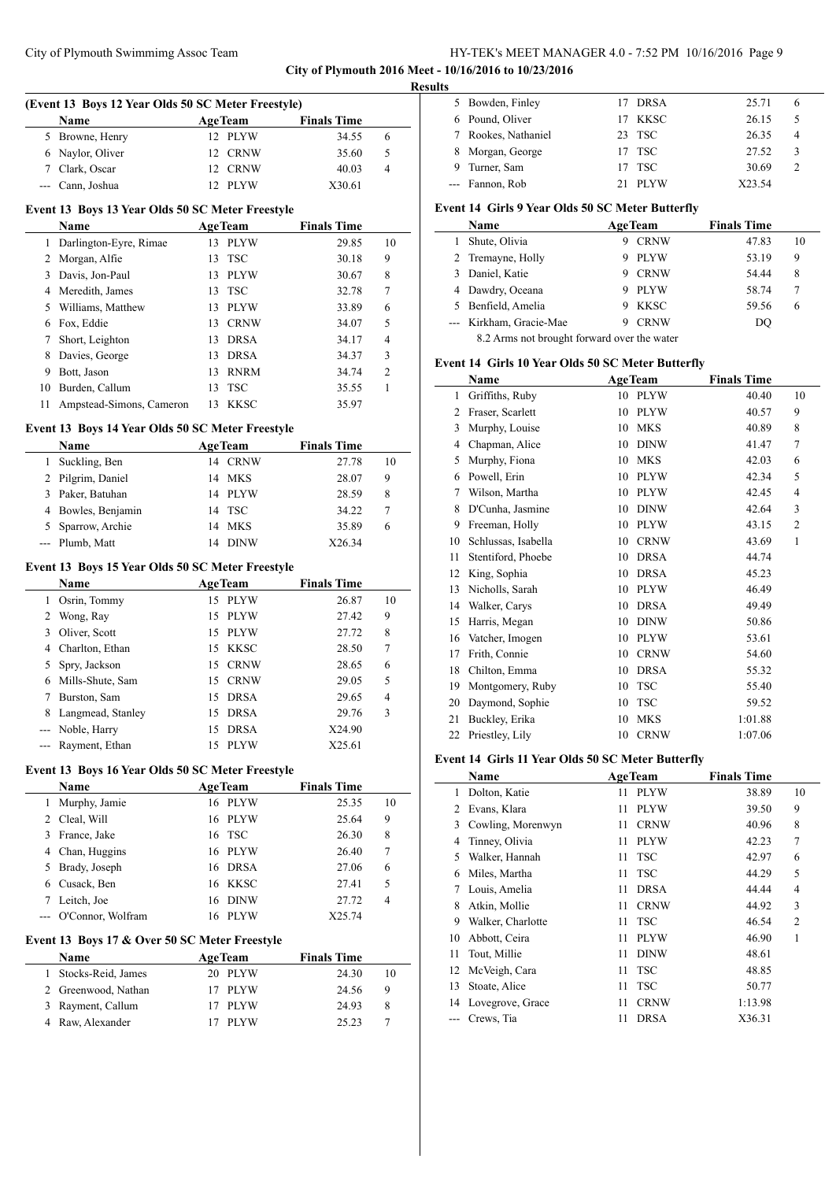# City of Plymouth Swimmimg Assoc Team HY-TEK's MEET MANAGER 4.0 - 7:52 PM 10/16/2016 Page 9 **City of Plymouth 2016 Meet - 10/16/2016 to 10/23/2016**

**Results**

L.

 $\equiv$ 

|     | (Event 13 Boys 12 Year Olds 50 SC Meter Freestyle) |                             |                    |    |
|-----|----------------------------------------------------|-----------------------------|--------------------|----|
|     | Name                                               | <b>AgeTeam</b>              | <b>Finals Time</b> |    |
| 5   | Browne, Henry                                      | 12 PLYW                     | 34.55              | 6  |
| 6   | Naylor, Oliver                                     | 12 CRNW                     | 35.60              | 5  |
|     | 7 Clark, Oscar                                     | 12 CRNW                     | 40.03              | 4  |
| --- | Cann. Joshua                                       | 12 PLYW                     | X30.61             |    |
|     |                                                    |                             |                    |    |
|     | Event 13 Boys 13 Year Olds 50 SC Meter Freestyle   |                             |                    |    |
|     | Name                                               | <b>AgeTeam</b><br>13 PLYW   | <b>Finals Time</b> |    |
| 1   | Darlington-Eyre, Rimae                             |                             | 29.85              | 10 |
| 2   | Morgan, Alfie                                      | 13<br><b>TSC</b><br>13 PLYW | 30.18              | 9  |
| 3   | Davis, Jon-Paul                                    | <b>TSC</b>                  | 30.67              | 8  |
|     | 4 Meredith, James                                  | 13                          | 32.78              | 7  |
|     | 5 Williams, Matthew                                | <b>PLYW</b><br>13           | 33.89              | 6  |
| 6   | Fox, Eddie                                         | 13 CRNW                     | 34.07              | 5  |
| 7   | Short, Leighton                                    | 13 DRSA                     | 34.17              | 4  |
| 8   | Davies, George                                     | 13 DRSA                     | 34.37              | 3  |
| 9   | Bott, Jason                                        | 13 RNRM                     | 34.74              | 2  |
| 10  | Burden, Callum                                     | <b>TSC</b><br>13            | 35.55              | 1  |
| 11  | Ampstead-Simons, Cameron                           | <b>KKSC</b><br>13           | 35.97              |    |
|     | Event 13 Boys 14 Year Olds 50 SC Meter Freestyle   |                             |                    |    |
|     | Name                                               | <b>AgeTeam</b>              | <b>Finals Time</b> |    |
| 1   | Suckling, Ben                                      | 14 CRNW                     | 27.78              | 10 |
| 2   | Pilgrim, Daniel                                    | 14<br><b>MKS</b>            | 28.07              | 9  |
| 3   | Paker, Batuhan                                     | <b>PLYW</b><br>14           | 28.59              | 8  |
| 4   | Bowles, Benjamin                                   | <b>TSC</b><br>14            | 34.22              | 7  |
| 5   | Sparrow, Archie                                    | <b>MKS</b><br>14            | 35.89              | 6  |
| --- | Plumb, Matt                                        | <b>DINW</b><br>14           | X26.34             |    |
|     |                                                    |                             |                    |    |
|     | Event 13 Boys 15 Year Olds 50 SC Meter Freestyle   |                             |                    |    |
|     | Name                                               | <b>AgeTeam</b>              | <b>Finals Time</b> |    |
| 1   | Osrin, Tommy                                       | 15 PLYW                     | 26.87              | 10 |
| 2   | Wong, Ray                                          | 15 PLYW                     | 27.42              | 9  |
| 3   | Oliver, Scott                                      | 15 PLYW                     | 27.72              | 8  |
| 4   | Charlton, Ethan                                    | 15 KKSC                     | 28.50              | 7  |
| 5   | Spry, Jackson                                      | 15<br><b>CRNW</b>           | 28.65              | 6  |
| 6   | Mills-Shute, Sam                                   | 15 CRNW                     | 29.05              | 5  |
| 7   | Burston, Sam                                       | 15<br><b>DRSA</b>           | 29.65              | 4  |
| 8   | Langmead, Stanley                                  | <b>DRSA</b><br>15           | 29.76              | 3  |
|     | --- Noble, Harry                                   | 15 DRSA                     | X24.90             |    |
|     | Rayment, Ethan                                     | <b>PLYW</b><br>15           | X25.61             |    |
|     | Event 13 Boys 16 Year Olds 50 SC Meter Freestyle   |                             |                    |    |
|     | Name                                               | <b>AgeTeam</b>              | <b>Finals Time</b> |    |
| 1   | Murphy, Jamie                                      | 16 PLYW                     | 25.35              | 10 |
| 2   | Cleal, Will                                        | <b>PLYW</b><br>16           | 25.64              | 9  |
| 3   | France, Jake                                       | <b>TSC</b><br>16            | 26.30              | 8  |
| 4   | Chan, Huggins                                      | <b>PLYW</b><br>16           | 26.40              | 7  |
| 5   | Brady, Joseph                                      | <b>DRSA</b><br>16           | 27.06              | 6  |
|     |                                                    |                             |                    |    |

 Cusack, Ben 16 KKSC 27.41 5 Leitch, Joe 16 DINW 27.72 4 --- O'Connor, Wolfram 16 PLYW X25.74

**Name Age Team Finals Time**  Stocks-Reid, James 20 PLYW 24.30 10 Greenwood, Nathan 17 PLYW 24.56 9 Rayment, Callum 17 PLYW 24.93 8 Raw, Alexander 17 PLYW 25.23 7

**Event 13 Boys 17 & Over 50 SC Meter Freestyle**

## Bowden, Finley 17 DRSA 25.71 6 Pound, Oliver 17 KKSC 26.15 5 Rookes, Nathaniel 23 TSC 26.35 4 Morgan, George 17 TSC 27.52 3 9 Turner, Sam 17 TSC 30.69 2 --- Fannon, Rob 21 PLYW X23.54

#### **Event 14 Girls 9 Year Olds 50 SC Meter Butterfly**

|                                             | Name                    |   | <b>AgeTeam</b> | <b>Finals Time</b> |    |
|---------------------------------------------|-------------------------|---|----------------|--------------------|----|
|                                             | Shute, Olivia           | 9 | <b>CRNW</b>    | 47.83              | 10 |
|                                             | 2 Tremayne, Holly       | 9 | <b>PLYW</b>    | 53.19              | 9  |
| 3                                           | Daniel, Katie           | 9 | <b>CRNW</b>    | 54.44              | 8  |
| 4                                           | Dawdry, Oceana          | 9 | <b>PLYW</b>    | 58.74              | 7  |
|                                             | 5 Benfield, Amelia      | 9 | <b>KKSC</b>    | 59.56              | 6  |
|                                             | --- Kirkham, Gracie-Mae | 9 | <b>CRNW</b>    | DO                 |    |
| 8.2 Arms not brought forward over the water |                         |   |                |                    |    |

## **Event 14 Girls 10 Year Olds 50 SC Meter Butterfly**

|                | Name                | <b>AgeTeam</b>    | <b>Finals Time</b> |                |
|----------------|---------------------|-------------------|--------------------|----------------|
| 1              | Griffiths, Ruby     | 10<br><b>PLYW</b> | 40.40              | 10             |
| $\overline{c}$ | Fraser, Scarlett    | <b>PLYW</b><br>10 | 40.57              | 9              |
| 3              | Murphy, Louise      | <b>MKS</b><br>10  | 40.89              | 8              |
| 4              | Chapman, Alice      | 10<br><b>DINW</b> | 41.47              | 7              |
| 5              | Murphy, Fiona       | 10<br><b>MKS</b>  | 42.03              | 6              |
| 6              | Powell, Erin        | <b>PLYW</b><br>10 | 42.34              | 5              |
| 7              | Wilson, Martha      | <b>PLYW</b><br>10 | 42.45              | $\overline{4}$ |
| 8              | D'Cunha, Jasmine    | <b>DINW</b><br>10 | 42.64              | 3              |
| 9              | Freeman, Holly      | <b>PLYW</b><br>10 | 43.15              | $\overline{2}$ |
| 10             | Schlussas, Isabella | 10<br><b>CRNW</b> | 43.69              | 1              |
| 11             | Stentiford, Phoebe  | <b>DRSA</b><br>10 | 44.74              |                |
| 12             | King, Sophia        | <b>DRSA</b><br>10 | 45.23              |                |
| 13             | Nicholls, Sarah     | 10<br><b>PLYW</b> | 46.49              |                |
| 14             | Walker, Carys       | 10<br><b>DRSA</b> | 49.49              |                |
| 15             | Harris, Megan       | <b>DINW</b><br>10 | 50.86              |                |
| 16             | Vatcher, Imogen     | 10<br><b>PLYW</b> | 53.61              |                |
| 17             | Frith, Connie       | <b>CRNW</b><br>10 | 54.60              |                |
| 18             | Chilton, Emma       | <b>DRSA</b><br>10 | 55.32              |                |
| 19             | Montgomery, Ruby    | <b>TSC</b><br>10  | 55.40              |                |
| 20             | Daymond, Sophie     | <b>TSC</b><br>10  | 59.52              |                |
| 21             | Buckley, Erika      | <b>MKS</b><br>10  | 1:01.88            |                |
| 22             | Priestley, Lily     | <b>CRNW</b><br>10 | 1:07.06            |                |
|                |                     |                   |                    |                |

## **Event 14 Girls 11 Year Olds 50 SC Meter Butterfly**

|    | Name              |    | <b>AgeTeam</b> | <b>Finals Time</b> |                |
|----|-------------------|----|----------------|--------------------|----------------|
| 1  | Dolton, Katie     | 11 | <b>PLYW</b>    | 38.89              | 10             |
| 2  | Evans, Klara      | 11 | <b>PLYW</b>    | 39.50              | 9              |
| 3  | Cowling, Morenwyn | 11 | <b>CRNW</b>    | 40.96              | 8              |
| 4  | Tinney, Olivia    | 11 | <b>PLYW</b>    | 42.23              | 7              |
| 5  | Walker, Hannah    | 11 | <b>TSC</b>     | 42.97              | 6              |
| 6  | Miles, Martha     | 11 | <b>TSC</b>     | 44.29              | 5              |
| 7  | Louis, Amelia     | 11 | <b>DRSA</b>    | 44.44              | $\overline{4}$ |
| 8  | Atkin, Mollie     | 11 | <b>CRNW</b>    | 44.92              | 3              |
| 9  | Walker, Charlotte | 11 | <b>TSC</b>     | 46.54              | $\overline{2}$ |
| 10 | Abbott, Ceira     | 11 | <b>PLYW</b>    | 46.90              | 1              |
| 11 | Tout, Millie      | 11 | <b>DINW</b>    | 48.61              |                |
| 12 | McVeigh, Cara     | 11 | <b>TSC</b>     | 48.85              |                |
| 13 | Stoate, Alice     | 11 | <b>TSC</b>     | 50.77              |                |
| 14 | Lovegrove, Grace  | 11 | <b>CRNW</b>    | 1:13.98            |                |
|    | Crews, Tia        | 11 | <b>DRSA</b>    | X36.31             |                |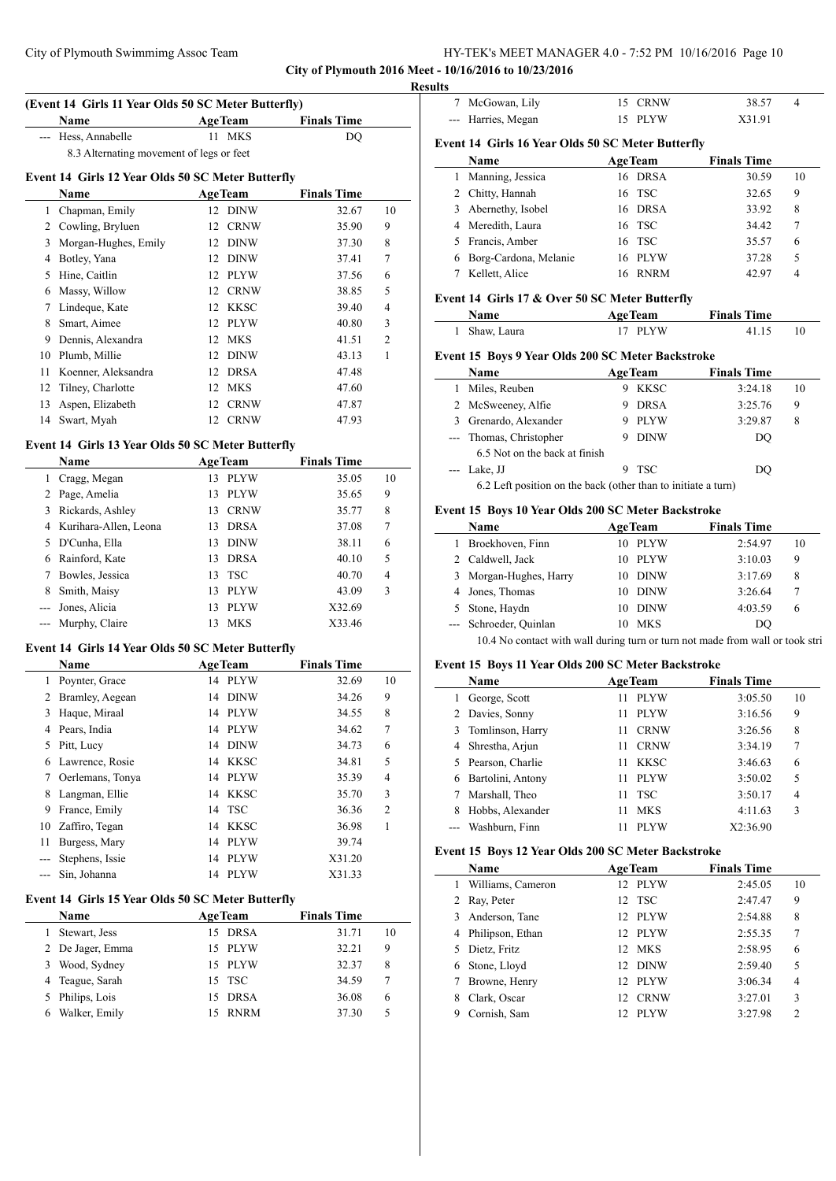|                                                       | HY-TEK's MEET MANAGER 4.0 - 7:52 PM 10/16/2016 Page 10 |  |
|-------------------------------------------------------|--------------------------------------------------------|--|
| City of Plymouth 2016 Meet - 10/16/2016 to 10/23/2016 |                                                        |  |

**Results**

| (Event 14 Girls 11 Year Olds 50 SC Meter Butterfly) |                |                    |  |  |  |  |
|-----------------------------------------------------|----------------|--------------------|--|--|--|--|
| <b>Name</b>                                         | <b>AgeTeam</b> | <b>Finals Time</b> |  |  |  |  |
| --- Hess, Annabelle                                 | 11 MKS         | DO                 |  |  |  |  |
| 8.3 Alternating movement of legs or feet            |                |                    |  |  |  |  |

## **Event 14 Girls 12 Year Olds 50 SC Meter Butterfly**

|    | <b>Name</b>          |    | <b>AgeTeam</b> | <b>Finals Time</b> |    |
|----|----------------------|----|----------------|--------------------|----|
| 1  | Chapman, Emily       |    | 12 DINW        | 32.67              | 10 |
| 2  | Cowling, Bryluen     | 12 | <b>CRNW</b>    | 35.90              | 9  |
| 3  | Morgan-Hughes, Emily | 12 | DINW           | 37.30              | 8  |
| 4  | Botley, Yana         | 12 | DINW           | 37.41              | 7  |
| 5  | Hine, Caitlin        | 12 | PLYW           | 37.56              | 6  |
| 6  | Massy, Willow        | 12 | CRNW           | 38.85              | 5  |
| 7  | Lindeque, Kate       | 12 | KKSC           | 39.40              | 4  |
| 8  | Smart, Aimee         | 12 | PLYW           | 40.80              | 3  |
| 9  | Dennis, Alexandra    | 12 | MKS            | 41.51              | 2  |
| 10 | Plumb, Millie        | 12 | DINW           | 43.13              | 1  |
| 11 | Koenner, Aleksandra  | 12 | <b>DRSA</b>    | 47.48              |    |
| 12 | Tilney, Charlotte    | 12 | <b>MKS</b>     | 47.60              |    |
| 13 | Aspen, Elizabeth     | 12 | <b>CRNW</b>    | 47.87              |    |
| 14 | Swart, Myah          | 12 | <b>CRNW</b>    | 47.93              |    |

#### **Event 14 Girls 13 Year Olds 50 SC Meter Butterfly**

|   | Name                  |    | <b>AgeTeam</b> | <b>Finals Time</b> |        |                |
|---|-----------------------|----|----------------|--------------------|--------|----------------|
|   | Cragg, Megan          | 13 | <b>PLYW</b>    |                    | 35.05  | 10             |
| 2 | Page, Amelia          | 13 | PLYW           |                    | 35.65  | 9              |
| 3 | Rickards, Ashley      | 13 | <b>CRNW</b>    |                    | 35.77  | 8              |
| 4 | Kurihara-Allen, Leona | 13 | <b>DRSA</b>    |                    | 37.08  | 7              |
| 5 | D'Cunha, Ella         | 13 | <b>DINW</b>    |                    | 38.11  | 6              |
| 6 | Rainford, Kate        | 13 | <b>DRSA</b>    |                    | 40.10  | 5              |
|   | Bowles, Jessica       | 13 | <b>TSC</b>     |                    | 40.70  | $\overline{4}$ |
| 8 | Smith, Maisy          | 13 | <b>PLYW</b>    |                    | 43.09  | 3              |
|   | Jones, Alicia         | 13 | <b>PLYW</b>    |                    | X32.69 |                |
|   | Murphy, Claire        | 13 | <b>MKS</b>     |                    | X33.46 |                |

# **Event 14 Girls 14 Year Olds 50 SC Meter Butterfly**

|    | <b>Name</b>      |    | <b>AgeTeam</b> | <b>Finals Time</b> |        |                |
|----|------------------|----|----------------|--------------------|--------|----------------|
| 1  | Poynter, Grace   | 14 | <b>PLYW</b>    |                    | 32.69  | 10             |
| 2  | Bramley, Aegean  | 14 | <b>DINW</b>    |                    | 34.26  | 9              |
| 3  | Haque, Miraal    |    | 14 PLYW        |                    | 34.55  | 8              |
| 4  | Pears, India     |    | 14 PLYW        |                    | 34.62  | 7              |
| 5  | Pitt, Lucy       | 14 | <b>DINW</b>    |                    | 34.73  | 6              |
| 6  | Lawrence, Rosie  |    | 14 KKSC        |                    | 34.81  | 5              |
| 7  | Oerlemans, Tonya |    | 14 PLYW        |                    | 35.39  | 4              |
| 8  | Langman, Ellie   | 14 | KKSC           |                    | 35.70  | 3              |
| 9  | France, Emily    |    | 14 TSC         |                    | 36.36  | $\overline{2}$ |
| 10 | Zaffiro, Tegan   |    | 14 KKSC        |                    | 36.98  | 1              |
| 11 | Burgess, Mary    | 14 | <b>PLYW</b>    |                    | 39.74  |                |
|    | Stephens, Issie  | 14 | PLYW           |                    | X31.20 |                |
|    | Sin, Johanna     | 14 | <b>PLYW</b>    |                    | X31.33 |                |

## **Event 14 Girls 15 Year Olds 50 SC Meter Butterfly**

|   | <b>Name</b>      |     | <b>AgeTeam</b> | <b>Finals Time</b> |    |
|---|------------------|-----|----------------|--------------------|----|
|   | Stewart, Jess    | 15. | <b>DRSA</b>    | 31.71              | 10 |
|   | 2 De Jager, Emma |     | 15 PLYW        | 32.21              | 9  |
| 3 | Wood, Sydney     |     | 15 PLYW        | 32.37              | 8  |
|   | 4 Teague, Sarah  |     | 15 TSC         | 34.59              |    |
|   | Philips, Lois    |     | 15 DRSA        | 36.08              | 6  |
|   | Walker, Emily    |     | <b>RNRM</b>    | 37.30              |    |

| 7 | McGowan, Lily                                     | 15              | <b>CRNW</b> | 38.57              | 4  |
|---|---------------------------------------------------|-----------------|-------------|--------------------|----|
|   | Harries, Megan                                    | 15              | <b>PLYW</b> | X31.91             |    |
|   | Event 14 Girls 16 Year Olds 50 SC Meter Butterfly |                 |             |                    |    |
|   | Name                                              | <b>AgeTeam</b>  |             | <b>Finals Time</b> |    |
| 1 | Manning, Jessica                                  | 16 DRSA         |             | 30.59              | 10 |
| 2 | Chitty, Hannah                                    | 16              | <b>TSC</b>  | 32.65              | 9  |
| 3 | Abernethy, Isobel                                 | 16              | <b>DRSA</b> | 33.92              | 8  |
| 4 | Meredith, Laura                                   | 16              | <b>TSC</b>  | 34.42              | 7  |
| 5 | Francis, Amber                                    | 16              | <b>TSC</b>  | 35.57              | 6  |
| 6 | Borg-Cardona, Melanie                             | 16              | <b>PLYW</b> | 37.28              | 5  |
| 7 | Kellett, Alice                                    | 16 RNRM         |             | 42.97              | 4  |
|   | Event 14 Girls 17 & Over 50 SC Meter Butterfly    |                 |             |                    |    |
|   |                                                   |                 |             |                    |    |
|   | Name                                              | <b>AgeTeam</b>  |             | <b>Finals Time</b> |    |
| 1 | Shaw, Laura                                       | 17 PLYW         |             | 41.15              | 10 |
|   | Event 15 Boys 9 Year Olds 200 SC Meter Backstroke |                 |             |                    |    |
|   | Name                                              | <b>AgeTeam</b>  |             | <b>Finals Time</b> |    |
| 1 | Miles, Reuben                                     | 9               | KKSC        | 3:24.18            | 10 |
| 2 | McSweeney, Alfie                                  | 9               | <b>DRSA</b> | 3:25.76            | 9  |
| 3 | Grenardo, Alexander                               | 9               | <b>PLYW</b> | 3:29.87            | 8  |
|   | Thomas, Christopher                               | 9               | <b>DINW</b> | DO                 |    |
|   | 6.5 Not on the back at finish                     |                 |             |                    |    |
|   | Lake, JJ                                          | 9<br><b>TSC</b> |             | DO                 |    |

# **Event 15 Boys 10 Year Olds 200 SC Meter Backstroke**

| <b>Name</b>            |     | <b>AgeTeam</b> | <b>Finals Time</b> |    |
|------------------------|-----|----------------|--------------------|----|
| 1 Broekhoven, Finn     | 10. | PLYW           | 2:54.97            | 10 |
| 2 Caldwell, Jack       |     | 10 PLYW        | 3:10.03            | 9  |
| 3 Morgan-Hughes, Harry | 10  | <b>DINW</b>    | 3:17.69            | 8  |
| 4 Jones, Thomas        | 10  | <b>DINW</b>    | 3:26.64            | 7  |
| 5 Stone, Haydn         | 10  | <b>DINW</b>    | 4:03.59            | 6  |
| --- Schroeder, Quinlan | 10  | <b>MKS</b>     | DO                 |    |
|                        |     |                |                    |    |

# 10.4 No contact with wall during turn or turn not made from wall or took stri

# **Event 15 Boys 11 Year Olds 200 SC Meter Backstroke**

|    | Name               |    | <b>AgeTeam</b> | <b>Finals Time</b> |    |
|----|--------------------|----|----------------|--------------------|----|
| ı. | George, Scott      | 11 | PLYW           | 3:05.50            | 10 |
|    | 2 Davies, Sonny    | 11 | <b>PLYW</b>    | 3:16.56            | 9  |
|    | 3 Tomlinson, Harry | 11 | <b>CRNW</b>    | 3:26.56            | 8  |
| 4  | Shrestha, Arjun    | 11 | <b>CRNW</b>    | 3:34.19            | 7  |
|    | 5 Pearson, Charlie | 11 | KKSC           | 3:46.63            | 6  |
| 6  | Bartolini, Antony  | 11 | <b>PLYW</b>    | 3:50.02            | 5  |
|    | Marshall, Theo     | 11 | <b>TSC</b>     | 3:50.17            | 4  |
|    | Hobbs, Alexander   | 11 | <b>MKS</b>     | 4:11.63            | 3  |
|    | Washburn, Finn     |    | <b>PLYW</b>    | X2:36.90           |    |

#### **Event 15 Boys 12 Year Olds 200 SC Meter Backstroke**

| Name                   | <b>AgeTeam</b>    | <b>Finals Time</b> |                |
|------------------------|-------------------|--------------------|----------------|
| Williams, Cameron<br>1 | 12 PLYW           | 2:45.05            | 10             |
| 2 Ray, Peter           | 12 TSC            | 2:47.47            | 9              |
| Anderson, Tane<br>3    | 12 PLYW           | 2:54.88            | 8              |
| 4 Philipson, Ethan     | 12 PLYW           | 2:55.35            | 7              |
| 5 Dietz, Fritz         | 12 MKS            | 2:58.95            | 6              |
| Stone, Lloyd<br>6      | 12 DINW           | 2:59.40            | 5              |
| Browne, Henry          | 12 PLYW           | 3:06.34            | 4              |
| Clark, Oscar           | <b>CRNW</b><br>12 | 3:27.01            | 3              |
| Cornish, Sam           | <b>PLYW</b>       | 3:27.98            | $\mathfrak{D}$ |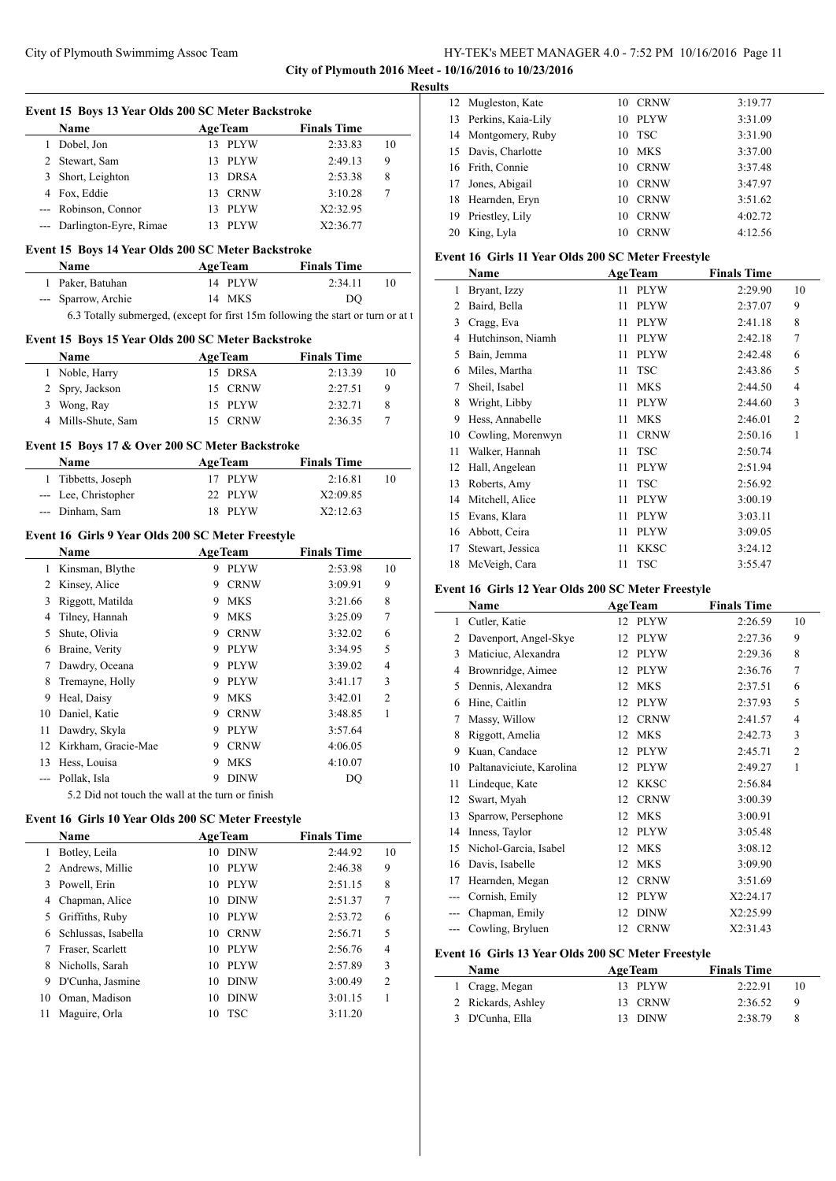## City of Plymouth Swimmimg Assoc Team HY-TEK's MEET MANAGER 4.0 - 7:52 PM 10/16/2016 Page 11 **City of Plymouth 2016 Meet - 10/16/2016 to 10/23/2016**

**Results**

|                | Event 15 Boys 13 Year Olds 200 SC Meter Backstroke                               |    |                           |                               |                |
|----------------|----------------------------------------------------------------------------------|----|---------------------------|-------------------------------|----------------|
|                | Name                                                                             |    | <b>AgeTeam</b>            | <b>Finals Time</b>            |                |
|                | 1 Dobel, Jon                                                                     |    | 13 PLYW                   | 2:33.83                       | 10             |
|                | 2 Stewart, Sam                                                                   |    | 13 PLYW                   | 2:49.13                       | 9              |
|                | 3 Short, Leighton                                                                |    | 13 DRSA                   | 2:53.38                       | 8              |
|                | 4 Fox. Eddie                                                                     |    | 13 CRNW                   | 3:10.28                       | 7              |
|                | --- Robinson, Connor                                                             |    | 13 PLYW                   | X2:32.95                      |                |
|                | --- Darlington-Eyre, Rimae                                                       |    | 13 PLYW                   | X2:36.77                      |                |
|                | Event 15 Boys 14 Year Olds 200 SC Meter Backstroke                               |    |                           |                               |                |
|                | <b>Name</b>                                                                      |    | AgeTeam                   | <b>Finals Time</b>            |                |
|                | 1 Paker, Batuhan                                                                 |    | 14 PLYW                   | 2:34.11                       | 10             |
|                | --- Sparrow, Archie                                                              |    | 14 MKS                    | DO                            |                |
|                | 6.3 Totally submerged, (except for first 15m following the start or turn or at t |    |                           |                               |                |
|                | Event 15 Boys 15 Year Olds 200 SC Meter Backstroke                               |    |                           |                               |                |
|                | Name                                                                             |    | <b>AgeTeam</b>            | <b>Finals Time</b>            |                |
|                | 1 Noble, Harry                                                                   |    | 15 DRSA                   | 2:13.39                       | 10             |
|                | 2 Spry, Jackson                                                                  |    | 15 CRNW                   | 2:27.51                       | 9              |
|                | 3 Wong, Ray                                                                      |    | 15 PLYW                   | 2:32.71                       | 8              |
|                | 4 Mills-Shute, Sam                                                               |    | 15 CRNW                   | 2:36.35                       | 7              |
|                | Event 15 Boys 17 & Over 200 SC Meter Backstroke                                  |    |                           |                               |                |
|                | <b>Name</b>                                                                      |    | <b>AgeTeam</b>            | <b>Finals Time</b>            |                |
|                | 1 Tibbetts, Joseph                                                               |    | 17 PLYW                   | 2:16.81                       | 10             |
|                | --- Lee, Christopher                                                             |    | 22 PLYW                   | X2:09.85                      |                |
|                | --- Dinham, Sam                                                                  |    | 18 PLYW                   | X2:12.63                      |                |
|                |                                                                                  |    |                           |                               |                |
|                | Event 16 Girls 9 Year Olds 200 SC Meter Freestyle                                |    |                           | <b>Finals Time</b>            |                |
| $\mathbf{1}$   | Name<br>Kinsman, Blythe                                                          |    | <b>AgeTeam</b><br>9 PLYW  | 2:53.98                       | 10             |
|                | 2 Kinsey, Alice                                                                  |    | 9 CRNW                    | 3:09.91                       | 9              |
| 3              | Riggott, Matilda                                                                 |    | 9 MKS                     | 3:21.66                       | 8              |
|                | 4 Tilney, Hannah                                                                 |    | 9 MKS                     | 3:25.09                       | 7              |
|                | 5 Shute, Olivia                                                                  |    | 9 CRNW                    | 3:32.02                       | 6              |
|                | 6 Braine, Verity                                                                 |    | 9 PLYW                    | 3:34.95                       | 5              |
|                | 7 Dawdry, Oceana                                                                 |    | 9 PLYW                    | 3:39.02                       | 4              |
| 8              | Tremayne, Holly                                                                  |    | 9 PLYW                    | 3:41.17                       | 3              |
| 9              | Heal, Daisy                                                                      |    | 9 MKS                     | 3:42.01                       | $\overline{c}$ |
| 10             | Daniel, Katie                                                                    |    | 9 CRNW                    | 3:48.85                       | 1              |
|                | 11 Dawdry, Skyla                                                                 |    | 9 PLYW                    | 3:57.64                       |                |
| 12             | Kirkham, Gracie-Mae                                                              | 9. | <b>CRNW</b>               | 4:06.05                       |                |
|                | 13 Hess, Louisa                                                                  | 9. | MKS                       | 4:10.07                       |                |
|                | --- Pollak, Isla                                                                 | 9  | <b>DINW</b>               | DQ                            |                |
|                | 5.2 Did not touch the wall at the turn or finish                                 |    |                           |                               |                |
|                |                                                                                  |    |                           |                               |                |
|                | Event 16 Girls 10 Year Olds 200 SC Meter Freestyle                               |    |                           |                               |                |
| 1              | Name<br>Botley, Leila                                                            |    | <b>AgeTeam</b><br>10 DINW | <b>Finals Time</b><br>2:44.92 | 10             |
| $\overline{2}$ | Andrews, Millie                                                                  | 10 | <b>PLYW</b>               | 2:46.38                       | 9              |
|                | 3 Powell, Erin                                                                   |    | 10 PLYW                   | 2:51.15                       | 8              |
|                | 4 Chapman, Alice                                                                 |    | 10 DINW                   | 2:51.37                       | 7              |
| 5              | Griffiths, Ruby                                                                  |    | 10 PLYW                   | 2:53.72                       | 6              |
|                | 6 Schlussas, Isabella                                                            |    | 10 CRNW                   | 2:56.71                       | 5              |
| 7              | Fraser, Scarlett                                                                 |    |                           |                               | 4              |
|                |                                                                                  |    | 10 PLYW                   | 2:56.76                       |                |
| 8              | Nicholls, Sarah                                                                  |    | 10 PLYW                   | 2:57.89                       | 3<br>2         |
| 9.             | D'Cunha, Jasmine                                                                 |    | 10 DINW                   | 3:00.49                       | 1              |
| 10             | Oman, Madison                                                                    | 10 | <b>DINW</b>               | 3:01.15                       |                |
| 11             | Maguire, Orla                                                                    | 10 | <b>TSC</b>                | 3:11.20                       |                |
|                |                                                                                  |    |                           |                               |                |

| 12 Mugleston, Kate    | 10 | <b>CRNW</b> | 3:19.77 |
|-----------------------|----|-------------|---------|
| 13 Perkins, Kaia-Lily | 10 | <b>PLYW</b> | 3:31.09 |
| 14 Montgomery, Ruby   | 10 | <b>TSC</b>  | 3:31.90 |
| 15 Davis, Charlotte   | 10 | MKS         | 3:37.00 |
| 16 Frith, Connie      | 10 | <b>CRNW</b> | 3:37.48 |
| 17 Jones, Abigail     | 10 | <b>CRNW</b> | 3:47.97 |
| 18 Hearnden, Eryn     | 10 | <b>CRNW</b> | 3:51.62 |
| 19 Priestley, Lily    | 10 | <b>CRNW</b> | 4:02.72 |
| 20 King, Lyla         | 10 | <b>CRNW</b> | 4:12.56 |

## **Event 16 Girls 11 Year Olds 200 SC Meter Freestyle**

| Name |                   |    | <b>AgeTeam</b> | <b>Finals Time</b> |                |
|------|-------------------|----|----------------|--------------------|----------------|
| 1    | Bryant, Izzy      | 11 | <b>PLYW</b>    | 2:29.90            | 10             |
| 2    | Baird, Bella      | 11 | <b>PLYW</b>    | 2:37.07            | 9              |
| 3    | Cragg, Eva        | 11 | <b>PLYW</b>    | 2:41.18            | 8              |
| 4    | Hutchinson, Niamh | 11 | <b>PLYW</b>    | 2:42.18            | 7              |
| 5    | Bain, Jemma       | 11 | <b>PLYW</b>    | 2:42.48            | 6              |
| 6    | Miles, Martha     | 11 | <b>TSC</b>     | 2:43.86            | 5              |
| 7    | Sheil, Isabel     | 11 | <b>MKS</b>     | 2:44.50            | 4              |
| 8    | Wright, Libby     | 11 | <b>PLYW</b>    | 2:44.60            | 3              |
| 9    | Hess, Annabelle   | 11 | <b>MKS</b>     | 2:46.01            | $\overline{2}$ |
| 10   | Cowling, Morenwyn | 11 | <b>CRNW</b>    | 2:50.16            | 1              |
| 11   | Walker, Hannah    | 11 | <b>TSC</b>     | 2:50.74            |                |
| 12   | Hall, Angelean    | 11 | <b>PLYW</b>    | 2:51.94            |                |
| 13   | Roberts, Amy      | 11 | <b>TSC</b>     | 2:56.92            |                |
| 14   | Mitchell, Alice   | 11 | <b>PLYW</b>    | 3:00.19            |                |
| 15   | Evans, Klara      | 11 | <b>PLYW</b>    | 3:03.11            |                |
| 16   | Abbott, Ceira     | 11 | <b>PLYW</b>    | 3:09.05            |                |
| 17   | Stewart, Jessica  | 11 | <b>KKSC</b>    | 3:24.12            |                |
| 18   | McVeigh, Cara     | 11 | <b>TSC</b>     | 3:55.47            |                |

# **Event 16 Girls 12 Year Olds 200 SC Meter Freestyle**

|     | <b>Name</b>              | <b>AgeTeam</b>    | <b>Finals Time</b> |                |
|-----|--------------------------|-------------------|--------------------|----------------|
| 1   | Cutler, Katie            | 12 PLYW           | 2:26.59            | 10             |
| 2   | Davenport, Angel-Skye    | <b>PLYW</b><br>12 | 2:27.36            | 9              |
| 3   | Maticiuc, Alexandra      | <b>PLYW</b><br>12 | 2:29.36            | 8              |
| 4   | Brownridge, Aimee        | <b>PLYW</b><br>12 | 2:36.76            | 7              |
| 5   | Dennis, Alexandra        | <b>MKS</b><br>12  | 2:37.51            | 6              |
| 6   | Hine, Caitlin            | <b>PLYW</b><br>12 | 2:37.93            | 5              |
| 7   | Massy, Willow            | <b>CRNW</b><br>12 | 2:41.57            | $\overline{4}$ |
| 8   | Riggott, Amelia          | <b>MKS</b><br>12  | 2:42.73            | 3              |
| 9   | Kuan, Candace            | <b>PLYW</b><br>12 | 2:45.71            | $\overline{2}$ |
| 10  | Paltanaviciute, Karolina | <b>PLYW</b><br>12 | 2:49.27            | 1              |
| 11  | Lindeque, Kate           | <b>KKSC</b><br>12 | 2:56.84            |                |
| 12  | Swart, Myah              | <b>CRNW</b><br>12 | 3:00.39            |                |
| 13  | Sparrow, Persephone      | <b>MKS</b><br>12  | 3:00.91            |                |
| 14  | Inness, Taylor           | <b>PLYW</b><br>12 | 3:05.48            |                |
| 15  | Nichol-Garcia, Isabel    | <b>MKS</b><br>12  | 3:08.12            |                |
| 16  | Davis, Isabelle          | <b>MKS</b><br>12  | 3:09.90            |                |
| 17  | Hearnden, Megan          | <b>CRNW</b><br>12 | 3:51.69            |                |
| --- | Cornish, Emily           | <b>PLYW</b><br>12 | X2:24.17           |                |
|     | Chapman, Emily           | <b>DINW</b><br>12 | X2:25.99           |                |
|     | Cowling, Bryluen         | <b>CRNW</b><br>12 | X2:31.43           |                |

# **Event 16 Girls 13 Year Olds 200 SC Meter Freestyle**

| <b>Name</b>        | <b>AgeTeam</b> | <b>Finals Time</b> |   |  |
|--------------------|----------------|--------------------|---|--|
| 1 Cragg, Megan     | 13 PLYW        | 2:22.91            |   |  |
| 2 Rickards, Ashley | 13 CRNW        | 2:36.52            | 9 |  |
| 3 D'Cunha, Ella    | 13 DINW        | 2:38.79            |   |  |